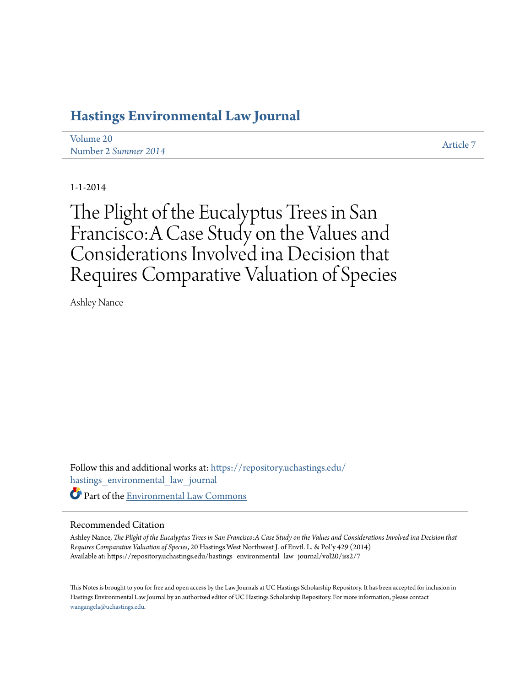# **[Hastings Environmental Law Journal](https://repository.uchastings.edu/hastings_environmental_law_journal?utm_source=repository.uchastings.edu%2Fhastings_environmental_law_journal%2Fvol20%2Fiss2%2F7&utm_medium=PDF&utm_campaign=PDFCoverPages)**

| Volume 20            | <b>Article 7</b> |
|----------------------|------------------|
| Number 2 Summer 2014 |                  |

1-1-2014

The Plight of the Eucalyptus Trees in San Francisco:A Case Study on the Values and Considerations Involved ina Decision that Requires Comparative Valuation of Species

Ashley Nance

Follow this and additional works at: [https://repository.uchastings.edu/](https://repository.uchastings.edu/hastings_environmental_law_journal?utm_source=repository.uchastings.edu%2Fhastings_environmental_law_journal%2Fvol20%2Fiss2%2F7&utm_medium=PDF&utm_campaign=PDFCoverPages) [hastings\\_environmental\\_law\\_journal](https://repository.uchastings.edu/hastings_environmental_law_journal?utm_source=repository.uchastings.edu%2Fhastings_environmental_law_journal%2Fvol20%2Fiss2%2F7&utm_medium=PDF&utm_campaign=PDFCoverPages) Part of the [Environmental Law Commons](http://network.bepress.com/hgg/discipline/599?utm_source=repository.uchastings.edu%2Fhastings_environmental_law_journal%2Fvol20%2Fiss2%2F7&utm_medium=PDF&utm_campaign=PDFCoverPages)

# Recommended Citation

Ashley Nance, *The Plight of the Eucalyptus Trees in San Francisco:A Case Study on the Values and Considerations Involved ina Decision that Requires Comparative Valuation of Species*, 20 Hastings West Northwest J. of Envtl. L. & Pol'y 429 (2014) Available at: https://repository.uchastings.edu/hastings\_environmental\_law\_journal/vol20/iss2/7

This Notes is brought to you for free and open access by the Law Journals at UC Hastings Scholarship Repository. It has been accepted for inclusion in Hastings Environmental Law Journal by an authorized editor of UC Hastings Scholarship Repository. For more information, please contact [wangangela@uchastings.edu](mailto:wangangela@uchastings.edu).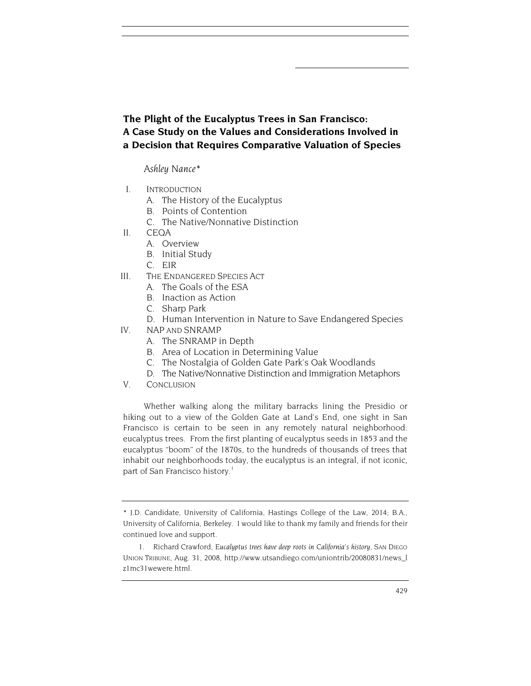**The Plight of the Eucalyptus Trees in San Francisco: A Case Study on the Values and Considerations Involved in a Decision that Requires Comparative Valuation of Species**

*Ashley Nance[\\*](#page-1-0)*

- I. INTRODUCTION
	- A. The History of the Eucalyptus
	- B. Points of Contention
	- C. The Native/Nonnative Distinction
- II. CEQA
	- A. Overview
	- B. Initial Study
	- C. EIR
- III. THE ENDANGERED SPECIES ACT
	- A. The Goals of the ESA
	- B. Inaction as Action
	- C. Sharp Park
	- D. Human Intervention in Nature to Save Endangered Species
- IV. NAP AND SNRAMP
	- A. The SNRAMP in Depth
	- B. Area of Location in Determining Value
	- C. The Nostalgia of Golden Gate Park's Oak Woodlands
	- D. The Native/Nonnative Distinction and Immigration Metaphors
- V. CONCLUSION

Whether walking along the military barracks lining the Presidio or hiking out to a view of the Golden Gate at Land's End, one sight in San Francisco is certain to be seen in any remotely natural neighborhood: eucalyptus trees. From the first planting of eucalyptus seeds in 1853 and the eucalyptus "boom" of the 1870s, to the hundreds of thousands of trees that inhabit our neighborhoods today, the eucalyptus is an integral, if not iconic, part of San Francisco history.<sup>[1](#page-1-1)</sup>

<span id="page-1-2"></span><span id="page-1-0"></span><sup>\*</sup> J.D. Candidate, University of California, Hastings College of the Law, 2014; B.A., University of California, Berkeley. I would like to thank my family and friends for their continued love and support.

<span id="page-1-1"></span><sup>1.</sup> Richard Crawford, *Eucalyptus trees have deep roots in California's history*, SAN DIEGO UNION TRIBUNE, Aug. 31, 2008, http://www.utsandiego.com/uniontrib/20080831/news\_l z1mc31wewere.html.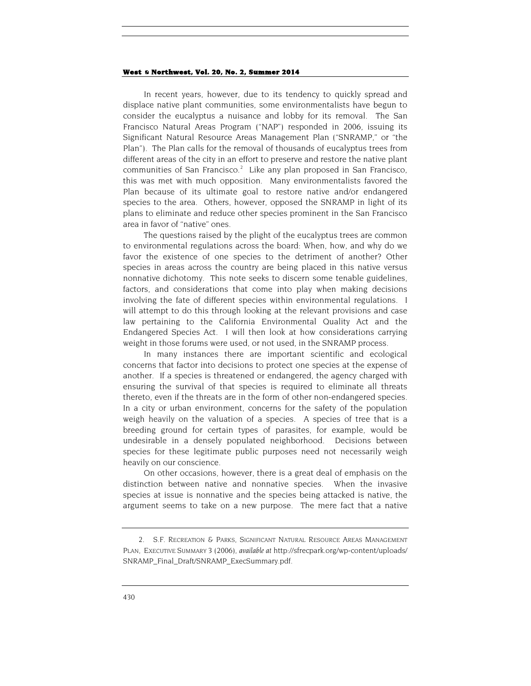In recent years, however, due to its tendency to quickly spread and displace native plant communities, some environmentalists have begun to consider the eucalyptus a nuisance and lobby for its removal. The San Francisco Natural Areas Program ("NAP") responded in 2006, issuing its Significant Natural Resource Areas Management Plan ("SNRAMP," or "the Plan"). The Plan calls for the removal of thousands of eucalyptus trees from different areas of the city in an effort to preserve and restore the native plant communities of San Francisco. $2$  Like any plan proposed in San Francisco, this was met with much opposition. Many environmentalists favored the Plan because of its ultimate goal to restore native and/or endangered species to the area. Others, however, opposed the SNRAMP in light of its plans to eliminate and reduce other species prominent in the San Francisco area in favor of "native" ones.

The questions raised by the plight of the eucalyptus trees are common to environmental regulations across the board: When, how, and why do we favor the existence of one species to the detriment of another? Other species in areas across the country are being placed in this native versus nonnative dichotomy. This note seeks to discern some tenable guidelines, factors, and considerations that come into play when making decisions involving the fate of different species within environmental regulations. I will attempt to do this through looking at the relevant provisions and case law pertaining to the California Environmental Quality Act and the Endangered Species Act. I will then look at how considerations carrying weight in those forums were used, or not used, in the SNRAMP process.

In many instances there are important scientific and ecological concerns that factor into decisions to protect one species at the expense of another. If a species is threatened or endangered, the agency charged with ensuring the survival of that species is required to eliminate all threats thereto, even if the threats are in the form of other non-endangered species. In a city or urban environment, concerns for the safety of the population weigh heavily on the valuation of a species. A species of tree that is a breeding ground for certain types of parasites, for example, would be undesirable in a densely populated neighborhood. Decisions between species for these legitimate public purposes need not necessarily weigh heavily on our conscience.

On other occasions, however, there is a great deal of emphasis on the distinction between native and nonnative species. When the invasive species at issue is nonnative and the species being attacked is native, the argument seems to take on a new purpose. The mere fact that a native

<span id="page-2-0"></span><sup>2.</sup> S.F. RECREATION & PARKS, SIGNIFICANT NATURAL RESOURCE AREAS MANAGEMENT PLAN, EXECUTIVE SUMMARY 3 (2006), *available at* http://sfrecpark.org/wp-content/uploads/ SNRAMP\_Final\_Draft/SNRAMP\_ExecSummary.pdf.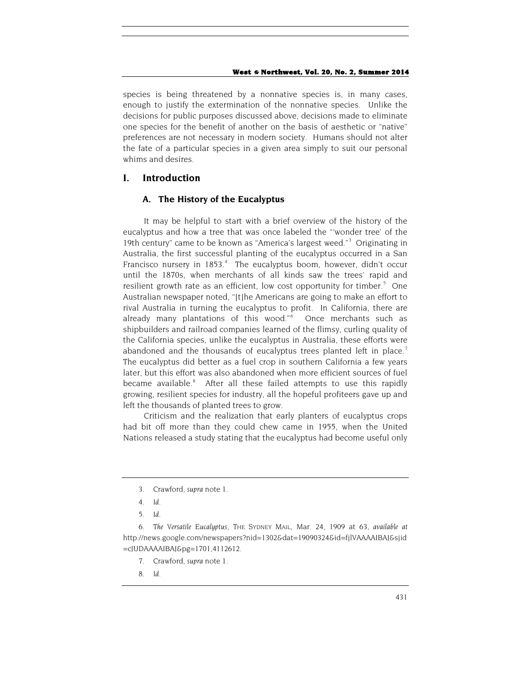species is being threatened by a nonnative species is, in many cases, enough to justify the extermination of the nonnative species. Unlike the decisions for public purposes discussed above, decisions made to eliminate one species for the benefit of another on the basis of aesthetic or "native" preferences are not necessary in modern society. Humans should not alter the fate of a particular species in a given area simply to suit our personal whims and desires.

# **I. Introduction**

# **A. The History of the Eucalyptus**

It may be helpful to start with a brief overview of the history of the eucalyptus and how a tree that was once labeled the "'wonder tree' of the 19th century" came to be known as "America's largest weed."<sup>[3](#page-3-0)</sup> Originating in Australia, the first successful planting of the eucalyptus occurred in a San Francisco nursery in 1853.<sup>[4](#page-3-1)</sup> The eucalyptus boom, however, didn't occur until the 1870s, when merchants of all kinds saw the trees' rapid and resilient growth rate as an efficient, low cost opportunity for timber.<sup>[5](#page-3-2)</sup> One Australian newspaper noted, "[t]he Americans are going to make an effort to rival Australia in turning the eucalyptus to profit. In California, there are already many plantations of this wood."[6](#page-3-3) Once merchants such as shipbuilders and railroad companies learned of the flimsy, curling quality of the California species, unlike the eucalyptus in Australia, these efforts were abandoned and the thousands of eucalyptus trees planted left in place.<sup>[7](#page-3-4)</sup> The eucalyptus did better as a fuel crop in southern California a few years later, but this effort was also abandoned when more efficient sources of fuel became available.<sup>8</sup> After all these failed attempts to use this rapidly growing, resilient species for industry, all the hopeful profiteers gave up and left the thousands of planted trees to grow.

Criticism and the realization that early planters of eucalyptus crops had bit off more than they could chew came in 1955, when the United Nations released a study stating that the eucalyptus had become useful only

- 7. Crawford, *supra* not[e 1.](#page-1-2)
- 8. *Id*.

<sup>3.</sup> Crawford, *supra* not[e 1.](#page-1-2)

<sup>4.</sup> *Id*.

<sup>5.</sup> *Id*.

<span id="page-3-5"></span><span id="page-3-4"></span><span id="page-3-3"></span><span id="page-3-2"></span><span id="page-3-1"></span><span id="page-3-0"></span><sup>6</sup>*. The Versatile Eucalyptus*, THE SYDNEY MAIL, Mar. 24, 1909 at 63, *available at* http://news.google.com/newspapers?nid=1302&dat=19090324&id=fjlVAAAAIBAJ&sjid =cJUDAAAAIBAJ&pg=1701,4112612.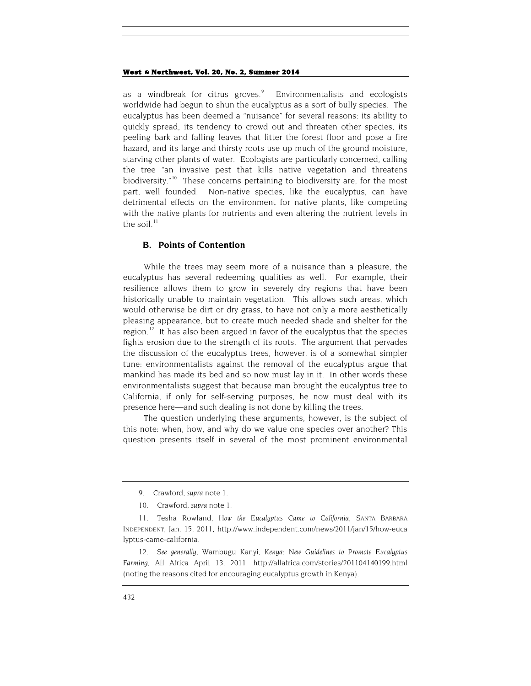as a windbreak for citrus groves. $\degree$  Environmentalists and ecologists worldwide had begun to shun the eucalyptus as a sort of bully species. The eucalyptus has been deemed a "nuisance" for several reasons: its ability to quickly spread, its tendency to crowd out and threaten other species, its peeling bark and falling leaves that litter the forest floor and pose a fire hazard, and its large and thirsty roots use up much of the ground moisture, starving other plants of water. Ecologists are particularly concerned, calling the tree "an invasive pest that kills native vegetation and threatens biodiversity.<sup>"10</sup> These concerns pertaining to biodiversity are, for the most part, well founded. Non-native species, like the eucalyptus, can have detrimental effects on the environment for native plants, like competing with the native plants for nutrients and even altering the nutrient levels in the soil. $11$ 

# **B. Points of Contention**

While the trees may seem more of a nuisance than a pleasure, the eucalyptus has several redeeming qualities as well. For example, their resilience allows them to grow in severely dry regions that have been historically unable to maintain vegetation. This allows such areas, which would otherwise be dirt or dry grass, to have not only a more aesthetically pleasing appearance, but to create much needed shade and shelter for the region.<sup>[12](#page-4-3)</sup> It has also been argued in favor of the eucalyptus that the species fights erosion due to the strength of its roots. The argument that pervades the discussion of the eucalyptus trees, however, is of a somewhat simpler tune: environmentalists against the removal of the eucalyptus argue that mankind has made its bed and so now must lay in it. In other words these environmentalists suggest that because man brought the eucalyptus tree to California, if only for self-serving purposes, he now must deal with its presence here—and such dealing is not done by killing the trees.

The question underlying these arguments, however, is the subject of this note: when, how, and why do we value one species over another? This question presents itself in several of the most prominent environmental

<sup>9.</sup> Crawford, *supra* not[e 1.](#page-1-2)

<sup>10.</sup> Crawford, *supra* note [1.](#page-1-2)

<span id="page-4-2"></span><span id="page-4-1"></span><span id="page-4-0"></span><sup>11.</sup> Tesha Rowland, *How the Eucalyptus Came to California*, SANTA BARBARA INDEPENDENT, Jan. 15, 2011, http://www.independent.com/news/2011/jan/15/how-euca lyptus-came-california.

<span id="page-4-3"></span><sup>12</sup>*. See generally*, Wambugu Kanyi, *Kenya: New Guidelines to Promote Eucalyptus Farming*, All Africa April 13, 2011, <http://allafrica.com/stories/201104140199.html> (noting the reasons cited for encouraging eucalyptus growth in Kenya).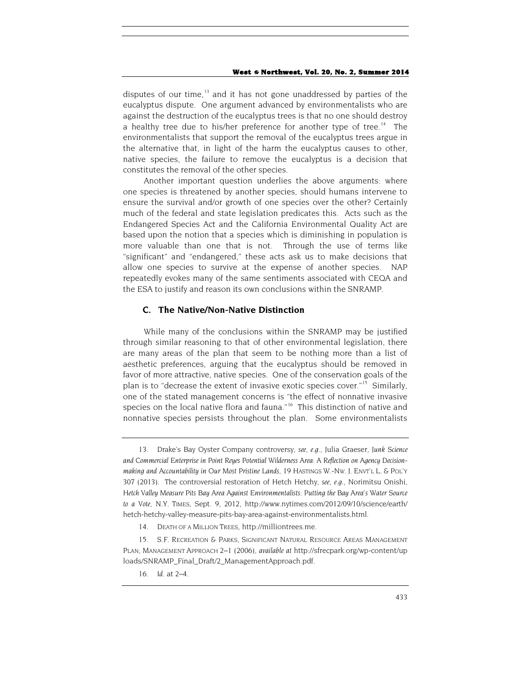disputes of our time, $13$  and it has not gone unaddressed by parties of the eucalyptus dispute. One argument advanced by environmentalists who are against the destruction of the eucalyptus trees is that no one should destroy a healthy tree due to his/her preference for another type of tree.<sup>[14](#page-5-1)</sup> The environmentalists that support the removal of the eucalyptus trees argue in the alternative that, in light of the harm the eucalyptus causes to other, native species, the failure to remove the eucalyptus is a decision that constitutes the removal of the other species.

Another important question underlies the above arguments: where one species is threatened by another species, should humans intervene to ensure the survival and/or growth of one species over the other? Certainly much of the federal and state legislation predicates this. Acts such as the Endangered Species Act and the California Environmental Quality Act are based upon the notion that a species which is diminishing in population is more valuable than one that is not. Through the use of terms like "significant" and "endangered," these acts ask us to make decisions that allow one species to survive at the expense of another species. NAP repeatedly evokes many of the same sentiments associated with CEQA and the ESA to justify and reason its own conclusions within the SNRAMP.

## <span id="page-5-4"></span>**C. The Native/Non-Native Distinction**

While many of the conclusions within the SNRAMP may be justified through similar reasoning to that of other environmental legislation, there are many areas of the plan that seem to be nothing more than a list of aesthetic preferences, arguing that the eucalyptus should be removed in favor of more attractive, native species. One of the conservation goals of the plan is to "decrease the extent of invasive exotic species cover."[15](#page-5-2) Similarly, one of the stated management concerns is "the effect of nonnative invasive species on the local native flora and fauna."<sup>[16](#page-5-3)</sup> This distinction of native and nonnative species persists throughout the plan. Some environmentalists

<span id="page-5-0"></span><sup>13.</sup> Drake's Bay Oyster Company controversy, *see, e.g*., Julia Graeser, *Junk Science and Commercial Enterprise in Point Reyes Potential Wilderness Area: A Reflection on Agency Decisionmaking and Accountability in Our Most Pristine Lands*, 19 HASTINGS W.-NW. J. ENVT'L L. & POL'Y 307 (2013). The controversial restoration of Hetch Hetchy, *see, e.g.*, Norimitsu Onishi, *Hetch Valley Measure Pits Bay Area Against Environmentalists: Putting the Bay Area's Water Source to a Vote*, N.Y. TIMES, Sept. 9, 2012, http://www.nytimes.com/2012/09/10/science/earth/ hetch-hetchy-valley-measure-pits-bay-area-against-environmentalists.html.

<sup>14.</sup> DEATH OF A MILLION TREES, http://milliontrees.me.

<span id="page-5-3"></span><span id="page-5-2"></span><span id="page-5-1"></span><sup>15.</sup> S.F. RECREATION & PARKS, SIGNIFICANT NATURAL RESOURCE AREAS MANAGEMENT PLAN, MANAGEMENT APPROACH 2–1 (2006), *available at* http://sfrecpark.org/wp-content/up loads/SNRAMP\_Final\_Draft/2\_ManagementApproach.pdf.

<sup>16</sup>*. Id.* at 2–4.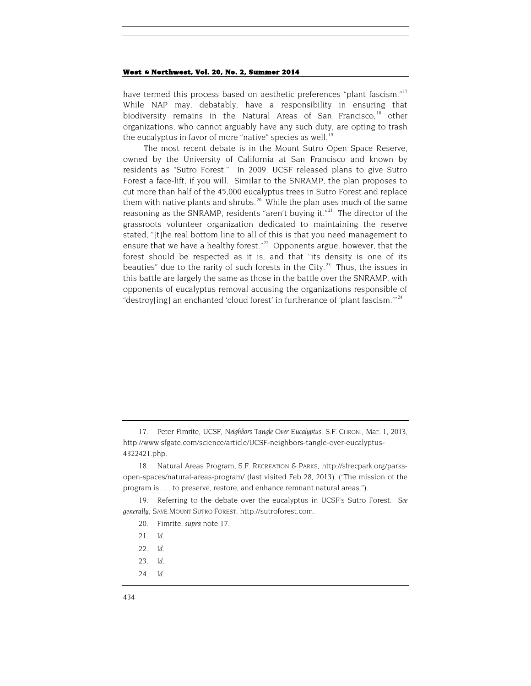<span id="page-6-0"></span>have termed this process based on aesthetic preferences "plant fascism."<sup>[17](#page-6-1)</sup> While NAP may, debatably, have a responsibility in ensuring that biodiversity remains in the Natural Areas of San Francisco,<sup>[18](#page-6-2)</sup> other organizations, who cannot arguably have any such duty, are opting to trash the eucalyptus in favor of more "native" species as well.<sup>[19](#page-6-3)</sup>

The most recent debate is in the Mount Sutro Open Space Reserve, owned by the University of California at San Francisco and known by residents as "Sutro Forest." In 2009, UCSF released plans to give Sutro Forest a face-lift, if you will. Similar to the SNRAMP, the plan proposes to cut more than half of the 45,000 eucalyptus trees in Sutro Forest and replace them with native plants and shrubs.<sup>20</sup> While the plan uses much of the same reasoning as the SNRAMP, residents "aren't buying it."<sup>[21](#page-6-5)</sup> The director of the grassroots volunteer organization dedicated to maintaining the reserve stated, "[t]he real bottom line to all of this is that you need management to ensure that we have a healthy forest."<sup>22</sup> Opponents argue, however, that the forest should be respected as it is, and that "its density is one of its beauties" due to the rarity of such forests in the City.<sup>[23](#page-6-7)</sup> Thus, the issues in this battle are largely the same as those in the battle over the SNRAMP, with opponents of eucalyptus removal accusing the organizations responsible of "destroy[ing] an enchanted 'cloud forest' in furtherance of 'plant fascism."<sup>[24](#page-6-8)</sup>

- 20. Fimrite, *supra* note [17.](#page-6-0)
- 21*. Id.*
- 22*. Id.*
- 23*. Id.*
- <span id="page-6-8"></span>24*. Id.*

<span id="page-6-1"></span><sup>17.</sup> Peter Fimrite, *UCSF, Neighbors Tangle Over Eucalyptus*, S.F. CHRON., Mar. 1, 2013, http://www.sfgate.com/science/article/UCSF-neighbors-tangle-over-eucalyptus-4322421.php.

<span id="page-6-2"></span><sup>18.</sup> Natural Areas Program, S.F. RECREATION & PARKS, http://sfrecpark.org/parksopen-spaces/natural-areas-program/ (last visited Feb 28, 2013). ("The mission of the program is . . . to preserve, restore, and enhance remnant natural areas.").

<span id="page-6-7"></span><span id="page-6-6"></span><span id="page-6-5"></span><span id="page-6-4"></span><span id="page-6-3"></span><sup>19.</sup> Referring to the debate over the eucalyptus in UCSF's Sutro Forest. *See generally,* SAVE MOUNT SUTRO FOREST, http://sutroforest.com.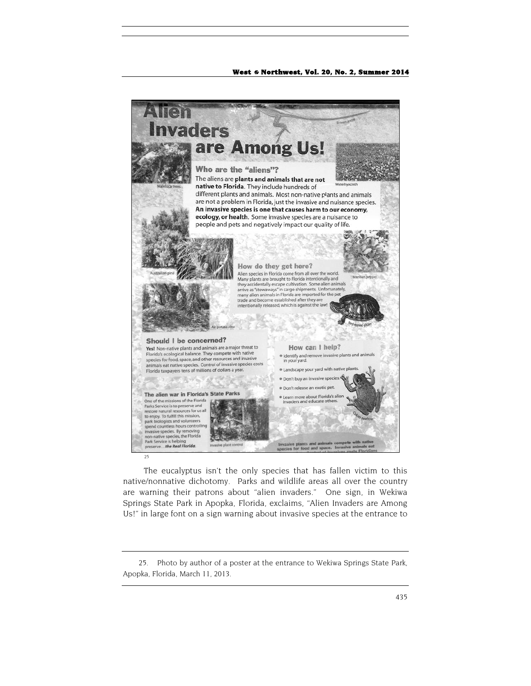

The eucalyptus isn't the only species that has fallen victim to this native/nonnative dichotomy. Parks and wildlife areas all over the country are warning their patrons about "alien invaders." One sign, in Wekiwa Springs State Park in Apopka, Florida, exclaims, "Alien Invaders are Among Us!" in large font on a sign warning about invasive species at the entrance to

<span id="page-7-0"></span><sup>25.</sup> Photo by author of a poster at the entrance to Wekiwa Springs State Park, Apopka, Florida, March 11, 2013.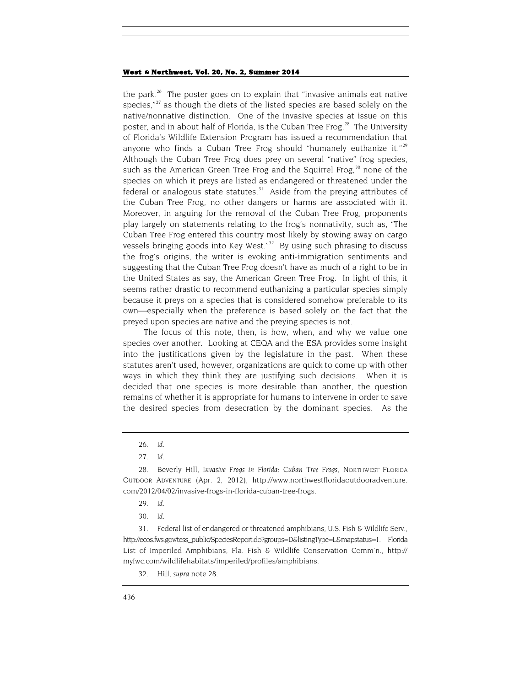<span id="page-8-0"></span>the park.<sup>[26](#page-8-1)</sup> The poster goes on to explain that "invasive animals eat native" species," $27$  as though the diets of the listed species are based solely on the native/nonnative distinction. One of the invasive species at issue on this poster, and in about half of Florida, is the Cuban Tree Frog.<sup>[28](#page-8-3)</sup> The University of Florida's Wildlife Extension Program has issued a recommendation that anyone who finds a Cuban Tree Frog should "humanely euthanize it." $2^9$ Although the Cuban Tree Frog does prey on several "native" frog species, such as the American Green Tree Frog and the Squirrel Frog, $30$  none of the species on which it preys are listed as endangered or threatened under the federal or analogous state statutes. $31$  Aside from the preying attributes of the Cuban Tree Frog, no other dangers or harms are associated with it. Moreover, in arguing for the removal of the Cuban Tree Frog, proponents play largely on statements relating to the frog's nonnativity, such as, "The Cuban Tree Frog entered this country most likely by stowing away on cargo vessels bringing goods into Key West."<sup>[32](#page-8-7)</sup> By using such phrasing to discuss the frog's origins, the writer is evoking anti-immigration sentiments and suggesting that the Cuban Tree Frog doesn't have as much of a right to be in the United States as say, the American Green Tree Frog. In light of this, it seems rather drastic to recommend euthanizing a particular species simply because it preys on a species that is considered somehow preferable to its own—especially when the preference is based solely on the fact that the preyed upon species are native and the preying species is not.

The focus of this note, then, is how, when, and why we value one species over another. Looking at CEQA and the ESA provides some insight into the justifications given by the legislature in the past. When these statutes aren't used, however, organizations are quick to come up with other ways in which they think they are justifying such decisions. When it is decided that one species is more desirable than another, the question remains of whether it is appropriate for humans to intervene in order to save the desired species from desecration by the dominant species. As the

<sup>26</sup>*. Id*.

<sup>27</sup>*. Id.*

<span id="page-8-3"></span><span id="page-8-2"></span><span id="page-8-1"></span><sup>28.</sup> Beverly Hill, *Invasive Frogs in Florida: Cuban Tree Frogs*, NORTHWEST FLORIDA OUTDOOR ADVENTURE (Apr. 2, 2012), http://www.northwestfloridaoutdooradventure. com/2012/04/02/invasive-frogs-in-florida-cuban-tree-frogs.

<sup>29</sup>*. Id.*

<sup>30</sup>*. Id.*

<span id="page-8-7"></span><span id="page-8-6"></span><span id="page-8-5"></span><span id="page-8-4"></span><sup>31.</sup> Federal list of endangered or threatened amphibians, U.S. Fish & Wildlife Serv., http://ecos.fws.gov/tess\_public/SpeciesReport.do?groups=D&listingType=L&mapstatus=1. Florida List of Imperiled Amphibians, Fla. Fish & Wildlife Conservation Comm'n., http:// myfwc.com/wildlifehabitats/imperiled/profiles/amphibians.

<sup>32.</sup> Hill, *supra* not[e 28.](#page-8-0)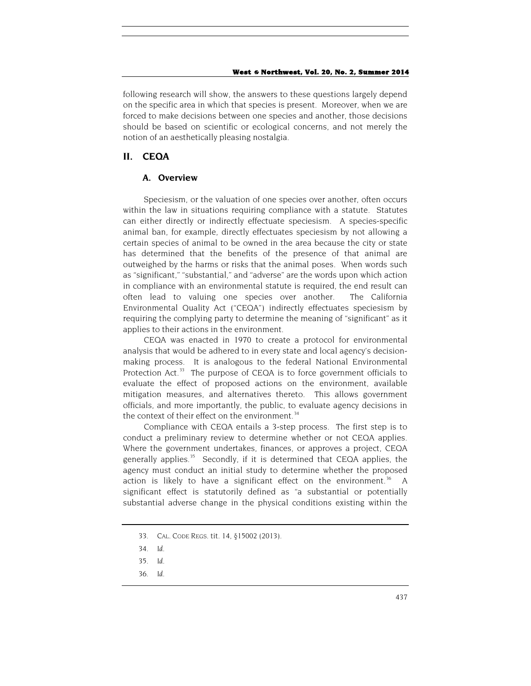following research will show, the answers to these questions largely depend on the specific area in which that species is present. Moreover, when we are forced to make decisions between one species and another, those decisions should be based on scientific or ecological concerns, and not merely the notion of an aesthetically pleasing nostalgia.

# **II. CEQA**

### **A. Overview**

Speciesism, or the valuation of one species over another, often occurs within the law in situations requiring compliance with a statute. Statutes can either directly or indirectly effectuate speciesism. A species-specific animal ban, for example, directly effectuates speciesism by not allowing a certain species of animal to be owned in the area because the city or state has determined that the benefits of the presence of that animal are outweighed by the harms or risks that the animal poses. When words such as "significant," "substantial," and "adverse" are the words upon which action in compliance with an environmental statute is required, the end result can often lead to valuing one species over another. The California Environmental Quality Act ("CEQA") indirectly effectuates speciesism by requiring the complying party to determine the meaning of "significant" as it applies to their actions in the environment.

CEQA was enacted in 1970 to create a protocol for environmental analysis that would be adhered to in every state and local agency's decisionmaking process. It is analogous to the federal National Environmental Protection Act. $33$  The purpose of CEQA is to force government officials to evaluate the effect of proposed actions on the environment, available mitigation measures, and alternatives thereto. This allows government officials, and more importantly, the public, to evaluate agency decisions in the context of their effect on the environment.<sup>[34](#page-9-1)</sup>

Compliance with CEQA entails a 3-step process. The first step is to conduct a preliminary review to determine whether or not CEQA applies. Where the government undertakes, finances, or approves a project, CEQA generally applies.<sup>[35](#page-9-2)</sup> Secondly, if it is determined that CEQA applies, the agency must conduct an initial study to determine whether the proposed action is likely to have a significant effect on the environment.<sup>[36](#page-9-3)</sup> A significant effect is statutorily defined as "a substantial or potentially substantial adverse change in the physical conditions existing within the

<span id="page-9-3"></span>36*. Id.*

<span id="page-9-0"></span><sup>33.</sup> CAL. CODE REGS. tit. 14, §15002 (2013).

<span id="page-9-2"></span><span id="page-9-1"></span><sup>34</sup>*. Id.*

<sup>35</sup>*. Id.*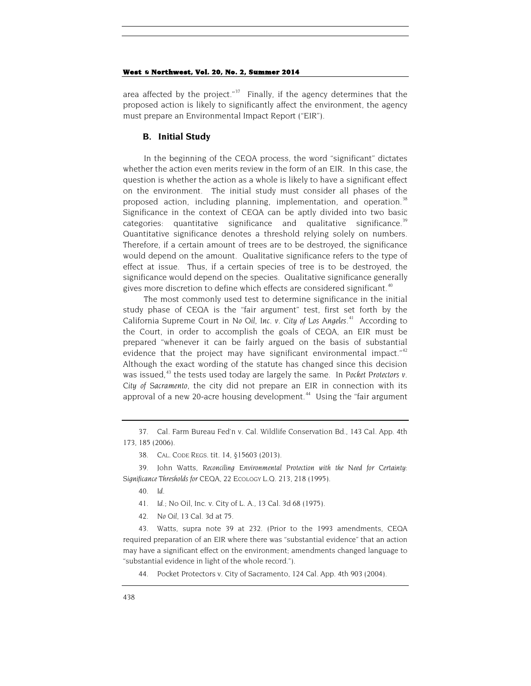area affected by the project."<sup>[37](#page-10-1)</sup> Finally, if the agency determines that the proposed action is likely to significantly affect the environment, the agency must prepare an Environmental Impact Report ("EIR").

### <span id="page-10-0"></span>**B. Initial Study**

In the beginning of the CEQA process, the word "significant" dictates whether the action even merits review in the form of an EIR. In this case, the question is whether the action as a whole is likely to have a significant effect on the environment. The initial study must consider all phases of the proposed action, including planning, implementation, and operation.<sup>[38](#page-10-2)</sup> Significance in the context of CEQA can be aptly divided into two basic categories: quantitative significance and qualitative significance.<sup>[39](#page-10-3)</sup> Quantitative significance denotes a threshold relying solely on numbers. Therefore, if a certain amount of trees are to be destroyed, the significance would depend on the amount. Qualitative significance refers to the type of effect at issue. Thus, if a certain species of tree is to be destroyed, the significance would depend on the species. Qualitative significance generally gives more discretion to define which effects are considered significant.<sup>[40](#page-10-4)</sup>

The most commonly used test to determine significance in the initial study phase of CEQA is the "fair argument" test, first set forth by the California Supreme Court in *No Oil, Inc. v. City of Los Angeles*. [41](#page-10-5) According to the Court, in order to accomplish the goals of CEQA, an EIR must be prepared "whenever it can be fairly argued on the basis of substantial evidence that the project may have significant environmental impact."<sup>[42](#page-10-6)</sup> Although the exact wording of the statute has changed since this decision was issued,<sup>[43](#page-10-7)</sup> the tests used today are largely the same. In *Pocket Protectors v*. *City of Sacramento*, the city did not prepare an EIR in connection with its approval of a new 20-acre housing development.<sup>[44](#page-10-8)</sup> Using the "fair argument

- 40*. Id.*
- 41*. Id.*; No Oil, Inc. v. City of L. A., 13 Cal. 3d 68 (1975).
- 42*. No Oil*, 13 Cal. 3d at 75.

<span id="page-10-8"></span><span id="page-10-7"></span><span id="page-10-6"></span><span id="page-10-5"></span>43. Watts, supra note [39](#page-10-0) at 232. (Prior to the 1993 amendments, CEQA required preparation of an EIR where there was "substantial evidence" that an action may have a significant effect on the environment; amendments changed language to "substantial evidence in light of the whole record.").

44. Pocket Protectors v. City of Sacramento, 124 Cal. App. 4th 903 (2004).

<span id="page-10-1"></span><sup>37.</sup> Cal. Farm Bureau Fed'n v. Cal. Wildlife Conservation Bd., 143 Cal. App. 4th 173, 185 (2006).

<sup>38.</sup> CAL. CODE REGS. tit. 14, §15603 (2013).

<span id="page-10-4"></span><span id="page-10-3"></span><span id="page-10-2"></span><sup>39.</sup> John Watts, *Reconciling Environmental Protection with the Need for Certainty: Significance Thresholds for CEQA*, 22 ECOLOGY L.Q. 213, 218 (1995).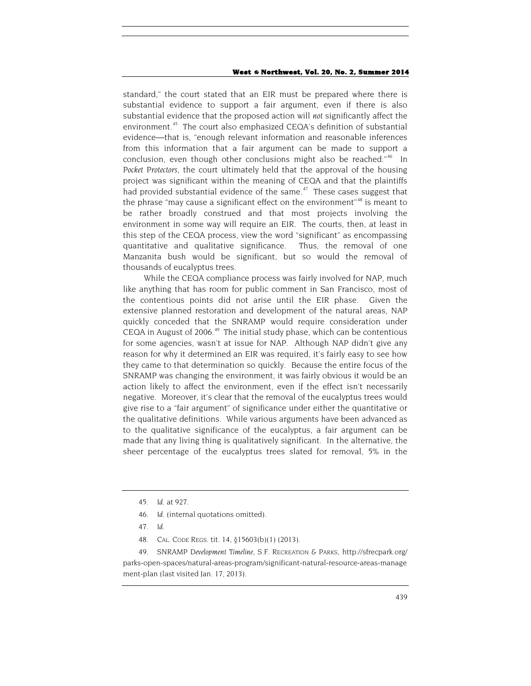standard," the court stated that an EIR must be prepared where there is substantial evidence to support a fair argument, even if there is also substantial evidence that the proposed action will *not* significantly affect the environment.<sup>45</sup> The court also emphasized CEQA's definition of substantial evidence—that is, "enough relevant information and reasonable inferences from this information that a fair argument can be made to support a conclusion, even though other conclusions might also be reached."<sup>[46](#page-11-1)</sup> In *Pocket Protectors*, the court ultimately held that the approval of the housing project was significant within the meaning of CEQA and that the plaintiffs had provided substantial evidence of the same. $47$  These cases suggest that the phrase "may cause a significant effect on the environment"<sup>[48](#page-11-3)</sup> is meant to be rather broadly construed and that most projects involving the environment in some way will require an EIR. The courts, then, at least in this step of the CEQA process, view the word "significant" as encompassing quantitative and qualitative significance. Thus, the removal of one Manzanita bush would be significant, but so would the removal of thousands of eucalyptus trees.

<span id="page-11-5"></span>While the CEQA compliance process was fairly involved for NAP, much like anything that has room for public comment in San Francisco, most of the contentious points did not arise until the EIR phase. Given the extensive planned restoration and development of the natural areas, NAP quickly conceded that the SNRAMP would require consideration under CEQA in August of 2006.<sup>[49](#page-11-4)</sup> The initial study phase, which can be contentious for some agencies, wasn't at issue for NAP. Although NAP didn't give any reason for why it determined an EIR was required, it's fairly easy to see how they came to that determination so quickly. Because the entire focus of the SNRAMP was changing the environment, it was fairly obvious it would be an action likely to affect the environment, even if the effect isn't necessarily negative. Moreover, it's clear that the removal of the eucalyptus trees would give rise to a "fair argument" of significance under either the quantitative or the qualitative definitions. While various arguments have been advanced as to the qualitative significance of the eucalyptus, a fair argument can be made that any living thing is qualitatively significant. In the alternative, the sheer percentage of the eucalyptus trees slated for removal, 5% in the

48. CAL. CODE REGS. tit. 14, §15603(b)(1) (2013).

<span id="page-11-4"></span><span id="page-11-3"></span><span id="page-11-2"></span><span id="page-11-1"></span><span id="page-11-0"></span>49*. SNRAMP Development Timeline*, S.F. RECREATION & PARKS, http://sfrecpark.org/ parks-open-spaces/natural-areas-program/significant-natural-resource-areas-manage ment-plan (last visited Jan. 17, 2013).

<sup>45</sup>*. Id.* at 927.

<sup>46</sup>*. Id.* (internal quotations omitted).

<sup>47</sup>*. Id.*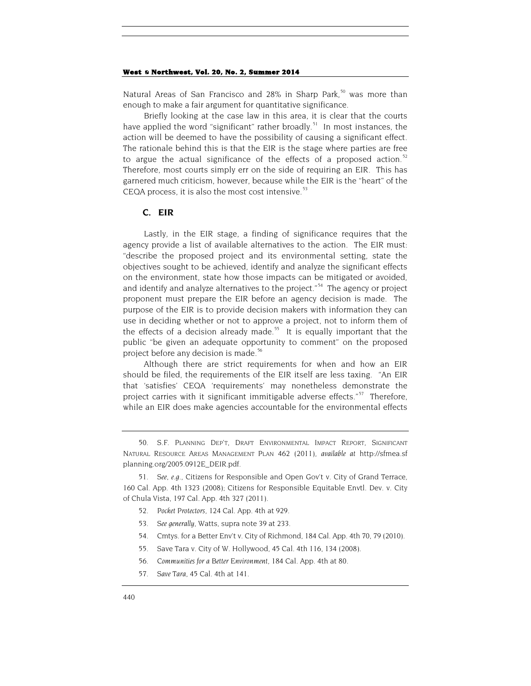<span id="page-12-8"></span>Natural Areas of San Francisco and 28% in Sharp Park,<sup>[50](#page-12-0)</sup> was more than enough to make a fair argument for quantitative significance.

Briefly looking at the case law in this area, it is clear that the courts have applied the word "significant" rather broadly.<sup>[51](#page-12-1)</sup> In most instances, the action will be deemed to have the possibility of causing a significant effect. The rationale behind this is that the EIR is the stage where parties are free to argue the actual significance of the effects of a proposed action.<sup>[52](#page-12-2)</sup> Therefore, most courts simply err on the side of requiring an EIR. This has garnered much criticism, however, because while the EIR is the "heart" of the CEQA process, it is also the most cost intensive. $53$ 

### **C. EIR**

Lastly, in the EIR stage, a finding of significance requires that the agency provide a list of available alternatives to the action. The EIR must: "describe the proposed project and its environmental setting, state the objectives sought to be achieved, identify and analyze the significant effects on the environment, state how those impacts can be mitigated or avoided, and identify and analyze alternatives to the project."<sup>[54](#page-12-4)</sup> The agency or project proponent must prepare the EIR before an agency decision is made. The purpose of the EIR is to provide decision makers with information they can use in deciding whether or not to approve a project, not to inform them of the effects of a decision already made.<sup>[55](#page-12-5)</sup> It is equally important that the public "be given an adequate opportunity to comment" on the proposed project before any decision is made.<sup>[56](#page-12-6)</sup>

Although there are strict requirements for when and how an EIR should be filed, the requirements of the EIR itself are less taxing. "An EIR that 'satisfies' CEQA 'requirements' may nonetheless demonstrate the project carries with it significant immitigable adverse effects."<sup>[57](#page-12-7)</sup> Therefore, while an EIR does make agencies accountable for the environmental effects

- 52*. Pocket Protectors*, 124 Cal. App. 4th at 929.
- 53*. See generally,* Watts, supra not[e 39](#page-10-0) at 233.
- 54. Cmtys. for a Better Env't v. City of Richmond, 184 Cal. App. 4th 70, 79 (2010).
- <span id="page-12-5"></span>55. Save Tara v. City of W. Hollywood, 45 Cal. 4th 116, 134 (2008).
- 56*. Communities for a Better Environment*, 184 Cal. App. 4th at 80.
- <span id="page-12-7"></span><span id="page-12-6"></span>57*. Save Tara,* 45 Cal. 4th at 141.

<span id="page-12-0"></span><sup>50.</sup> S.F. PLANNING DEP'T, DRAFT ENVIRONMENTAL IMPACT REPORT, SIGNIFICANT NATURAL RESOURCE AREAS MANAGEMENT PLAN 462 (2011), *available at* http://sfmea.sf planning.org/2005.0912E\_DEIR.pdf.

<span id="page-12-4"></span><span id="page-12-3"></span><span id="page-12-2"></span><span id="page-12-1"></span><sup>51</sup>*. See, e.g.*, Citizens for Responsible and Open Gov't v. City of Grand Terrace, 160 Cal. App. 4th 1323 (2008); Citizens for Responsible Equitable Envtl. Dev. v. City of Chula Vista, 197 Cal. App. 4th 327 (2011).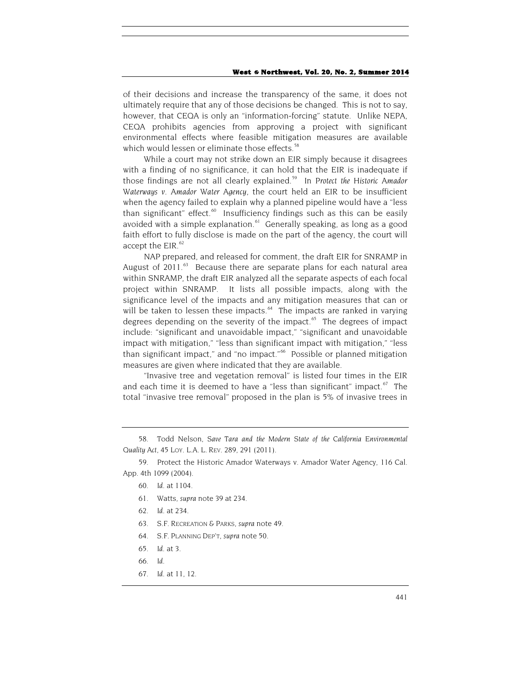of their decisions and increase the transparency of the same, it does not ultimately require that any of those decisions be changed. This is not to say, however, that CEQA is only an "information-forcing" statute. Unlike NEPA, CEQA prohibits agencies from approving a project with significant environmental effects where feasible mitigation measures are available which would lessen or eliminate those effects.<sup>58</sup>

While a court may not strike down an EIR simply because it disagrees with a finding of no significance, it can hold that the EIR is inadequate if those findings are not all clearly explained. [59](#page-13-1) In *Protect the Historic Amador Waterways v. Amador Water Agency*, the court held an EIR to be insufficient when the agency failed to explain why a planned pipeline would have a "less than significant" effect. $60$  Insufficiency findings such as this can be easily avoided with a simple explanation.<sup>61</sup> Generally speaking, as long as a good faith effort to fully disclose is made on the part of the agency, the court will accept the  $EIR.<sup>62</sup>$  $EIR.<sup>62</sup>$  $EIR.<sup>62</sup>$ 

NAP prepared, and released for comment, the draft EIR for SNRAMP in August of 2011.<sup>[63](#page-13-5)</sup> Because there are separate plans for each natural area within SNRAMP, the draft EIR analyzed all the separate aspects of each focal project within SNRAMP. It lists all possible impacts, along with the significance level of the impacts and any mitigation measures that can or will be taken to lessen these impacts.<sup>[64](#page-13-6)</sup> The impacts are ranked in varying degrees depending on the severity of the impact. $65$  The degrees of impact include: "significant and unavoidable impact," "significant and unavoidable impact with mitigation," "less than significant impact with mitigation," "less than significant impact," and "no impact."<sup>[66](#page-13-8)</sup> Possible or planned mitigation measures are given where indicated that they are available.

"Invasive tree and vegetation removal" is listed four times in the EIR and each time it is deemed to have a "less than significant" impact.<sup>[67](#page-13-9)</sup> The total "invasive tree removal" proposed in the plan is 5% of invasive trees in

- 60*. Id.* at 1104.
- 61. Watts, *supra* not[e 39](#page-10-0) at 234.
- 62*. Id.* at 234.
- 63. S.F. RECREATION & PARKS, *supra* not[e 49.](#page-11-5)
- <span id="page-13-6"></span>64. S.F. PLANNING DEP'T, *supra* not[e 50.](#page-12-8)
- <span id="page-13-7"></span>65*. Id*. at 3.
- <span id="page-13-8"></span>66*. Id*.
- <span id="page-13-9"></span>67*. Id.* at 11, 12.

<span id="page-13-0"></span><sup>58.</sup> Todd Nelson, *Save Tara and the Modern State of the California Environmental Quality Act*, 45 LOY. L.A. L. REV. 289, 291 (2011).

<span id="page-13-5"></span><span id="page-13-4"></span><span id="page-13-3"></span><span id="page-13-2"></span><span id="page-13-1"></span><sup>59.</sup> Protect the Historic Amador Waterways v. Amador Water Agency, 116 Cal. App. 4th 1099 (2004).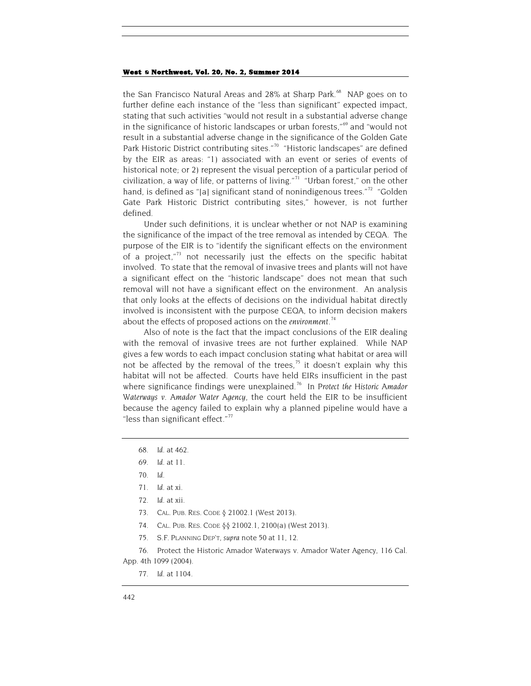the San Francisco Natural Areas and 28% at Sharp Park.<sup>68</sup> NAP goes on to further define each instance of the "less than significant" expected impact, stating that such activities "would not result in a substantial adverse change in the significance of historic landscapes or urban forests,"<sup>[69](#page-14-1)</sup> and "would not result in a substantial adverse change in the significance of the Golden Gate Park Historic District contributing sites."<sup>70</sup> "Historic landscapes" are defined by the EIR as areas: "1) associated with an event or series of events of historical note; or 2) represent the visual perception of a particular period of civilization, a way of life, or patterns of living."<sup>71</sup> "Urban forest," on the other hand, is defined as "[a] significant stand of nonindigenous trees." $72$  "Golden Gate Park Historic District contributing sites," however, is not further defined.

Under such definitions, it is unclear whether or not NAP is examining the significance of the impact of the tree removal as intended by CEQA. The purpose of the EIR is to "identify the significant effects on the environment of a project,"<sup>[73](#page-14-5)</sup> not necessarily just the effects on the specific habitat involved. To state that the removal of invasive trees and plants will not have a significant effect on the "historic landscape" does not mean that such removal will not have a significant effect on the environment. An analysis that only looks at the effects of decisions on the individual habitat directly involved is inconsistent with the purpose CEQA, to inform decision makers about the effects of proposed actions on the *environment*. [74](#page-14-6)

Also of note is the fact that the impact conclusions of the EIR dealing with the removal of invasive trees are not further explained. While NAP gives a few words to each impact conclusion stating what habitat or area will not be affected by the removal of the trees,<sup>[75](#page-14-7)</sup> it doesn't explain why this habitat will not be affected. Courts have held EIRs insufficient in the past where significance findings were unexplained.[76](#page-14-8) In *Protect the Historic Amador Waterways v. Amador Water Agency*, the court held the EIR to be insufficient because the agency failed to explain why a planned pipeline would have a "less than significant effect." $77$ 

- <span id="page-14-0"></span>68*. Id.* at 462.
- <span id="page-14-2"></span><span id="page-14-1"></span>69*. Id.* at 11.
- 70*. Id.*
- <span id="page-14-3"></span>71*. Id.* at xi.
- 72*. Id.* at xii.
- 73. CAL. PUB. RES. CODE § 21002.1 (West 2013).
- 74. CAL. PUB. RES. CODE §§ 21002.1, 2100(a) (West 2013).
- 75. S.F. PLANNING DEP'T, *supra* not[e 50](#page-12-8) at 11, 12.

<span id="page-14-9"></span><span id="page-14-8"></span><span id="page-14-7"></span><span id="page-14-6"></span><span id="page-14-5"></span><span id="page-14-4"></span>76. Protect the Historic Amador Waterways v. Amador Water Agency, 116 Cal. App. 4th 1099 (2004).

77*. Id.* at 1104.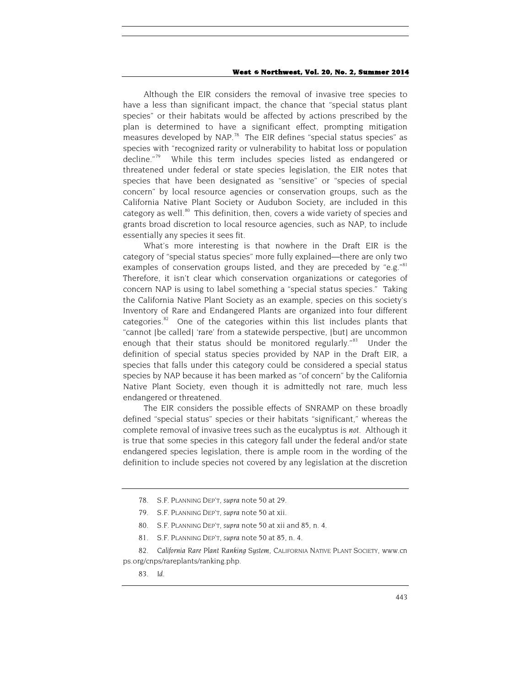Although the EIR considers the removal of invasive tree species to have a less than significant impact, the chance that "special status plant species" or their habitats would be affected by actions prescribed by the plan is determined to have a significant effect, prompting mitigation measures developed by NAP.<sup>78</sup> The EIR defines "special status species" as species with "recognized rarity or vulnerability to habitat loss or population decline."<sup>79</sup> While this term includes species listed as endangered or threatened under federal or state species legislation, the EIR notes that species that have been designated as "sensitive" or "species of special concern" by local resource agencies or conservation groups, such as the California Native Plant Society or Audubon Society, are included in this category as well.<sup>[80](#page-15-2)</sup> This definition, then, covers a wide variety of species and grants broad discretion to local resource agencies, such as NAP, to include essentially any species it sees fit.

What's more interesting is that nowhere in the Draft EIR is the category of "special status species" more fully explained—there are only two examples of conservation groups listed, and they are preceded by "e.g."<sup>[81](#page-15-3)</sup> Therefore, it isn't clear which conservation organizations or categories of concern NAP is using to label something a "special status species." Taking the California Native Plant Society as an example, species on this society's Inventory of Rare and Endangered Plants are organized into four different categories.<sup>[82](#page-15-4)</sup> One of the categories within this list includes plants that "cannot [be called] 'rare' from a statewide perspective, [but] are uncommon enough that their status should be monitored regularly."<sup>[83](#page-15-5)</sup> Under the definition of special status species provided by NAP in the Draft EIR, a species that falls under this category could be considered a special status species by NAP because it has been marked as "of concern" by the California Native Plant Society, even though it is admittedly not rare, much less endangered or threatened.

The EIR considers the possible effects of SNRAMP on these broadly defined "special status" species or their habitats "significant," whereas the complete removal of invasive trees such as the eucalyptus is *not*. Although it is true that some species in this category fall under the federal and/or state endangered species legislation, there is ample room in the wording of the definition to include species not covered by any legislation at the discretion

- 80. S.F. PLANNING DEP'T, *supra* not[e 50](#page-12-8) at xii and 85, n. 4.
- 81. S.F. PLANNING DEP'T, *supra* not[e 50](#page-12-8) at 85, n. 4.

<span id="page-15-5"></span><span id="page-15-4"></span><span id="page-15-3"></span><span id="page-15-2"></span><span id="page-15-1"></span><span id="page-15-0"></span>82*. California Rare Plant Ranking System*, CALIFORNIA NATIVE PLANT SOCIETY, www.cn ps.org/cnps/rareplants/ranking.php.

<sup>78.</sup> S.F. PLANNING DEP'T, *supra* not[e 50](#page-12-8) at 29.

<sup>79.</sup> S.F. PLANNING DEP'T, *supra* not[e 50](#page-12-8) at xii.

<sup>83</sup>*. Id*.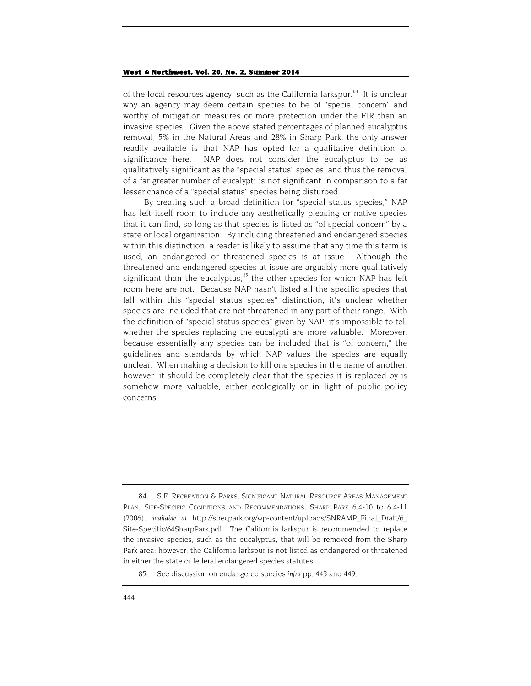<span id="page-16-2"></span>of the local resources agency, such as the California larkspur.<sup>[84](#page-16-0)</sup> It is unclear why an agency may deem certain species to be of "special concern" and worthy of mitigation measures or more protection under the EIR than an invasive species. Given the above stated percentages of planned eucalyptus removal, 5% in the Natural Areas and 28% in Sharp Park, the only answer readily available is that NAP has opted for a qualitative definition of significance here. NAP does not consider the eucalyptus to be as qualitatively significant as the "special status" species, and thus the removal of a far greater number of eucalypti is not significant in comparison to a far lesser chance of a "special status" species being disturbed.

By creating such a broad definition for "special status species," NAP has left itself room to include any aesthetically pleasing or native species that it can find, so long as that species is listed as "of special concern" by a state or local organization. By including threatened and endangered species within this distinction, a reader is likely to assume that any time this term is used, an endangered or threatened species is at issue. Although the threatened and endangered species at issue are arguably more qualitatively significant than the eucalyptus,<sup>[85](#page-16-1)</sup> the other species for which NAP has left room here are not. Because NAP hasn't listed all the specific species that fall within this "special status species" distinction, it's unclear whether species are included that are not threatened in any part of their range. With the definition of "special status species" given by NAP, it's impossible to tell whether the species replacing the eucalypti are more valuable. Moreover, because essentially any species can be included that is "of concern," the guidelines and standards by which NAP values the species are equally unclear. When making a decision to kill one species in the name of another, however, it should be completely clear that the species it is replaced by is somehow more valuable, either ecologically or in light of public policy concerns.

<span id="page-16-0"></span><sup>84.</sup> S.F. RECREATION & PARKS, SIGNIFICANT NATURAL RESOURCE AREAS MANAGEMENT PLAN, SITE-SPECIFIC CONDITIONS AND RECOMMENDATIONS, SHARP PARK 6.4-10 to 6.4-11 (2006), *available at* http://sfrecpark.org/wp-content/uploads/SNRAMP\_Final\_Draft/6\_ Site-Specific/64SharpPark.pdf. The California larkspur is recommended to replace the invasive species, such as the eucalyptus, that will be removed from the Sharp Park area; however, the California larkspur is not listed as endangered or threatened in either the state or federal endangered species statutes.

<span id="page-16-1"></span><sup>85.</sup> See discussion on endangered species *infra* pp. 443 and 449.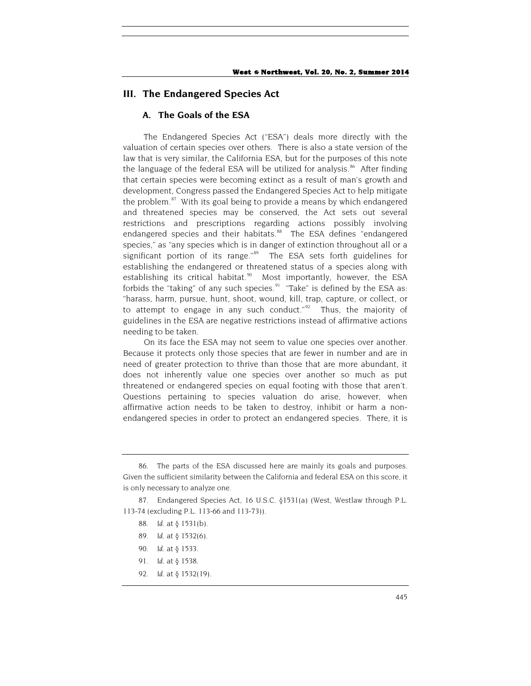# **III. The Endangered Species Act**

# **A. The Goals of the ESA**

The Endangered Species Act ("ESA") deals more directly with the valuation of certain species over others. There is also a state version of the law that is very similar, the California ESA, but for the purposes of this note the language of the federal ESA will be utilized for analysis. $86$  After finding that certain species were becoming extinct as a result of man's growth and development, Congress passed the Endangered Species Act to help mitigate the problem. $87$  With its goal being to provide a means by which endangered and threatened species may be conserved, the Act sets out several restrictions and prescriptions regarding actions possibly involving endangered species and their habitats.<sup>[88](#page-17-2)</sup> The ESA defines "endangered species," as "any species which is in danger of extinction throughout all or a significant portion of its range."[89](#page-17-3) The ESA sets forth guidelines for establishing the endangered or threatened status of a species along with establishing its critical habitat.<sup>90</sup> Most importantly, however, the ESA forbids the "taking" of any such species. $91$  "Take" is defined by the ESA as: "harass, harm, pursue, hunt, shoot, wound, kill, trap, capture, or collect, or to attempt to engage in any such conduct."<sup>[92](#page-17-6)</sup> Thus, the majority of guidelines in the ESA are negative restrictions instead of affirmative actions needing to be taken.

On its face the ESA may not seem to value one species over another. Because it protects only those species that are fewer in number and are in need of greater protection to thrive than those that are more abundant, it does not inherently value one species over another so much as put threatened or endangered species on equal footing with those that aren't. Questions pertaining to species valuation do arise, however, when affirmative action needs to be taken to destroy, inhibit or harm a nonendangered species in order to protect an endangered species. There, it is

<span id="page-17-6"></span>92*. Id.* at § 1532(19).

<span id="page-17-0"></span><sup>86.</sup> The parts of the ESA discussed here are mainly its goals and purposes. Given the sufficient similarity between the California and federal ESA on this score, it is only necessary to analyze one.

<span id="page-17-5"></span><span id="page-17-4"></span><span id="page-17-3"></span><span id="page-17-2"></span><span id="page-17-1"></span><sup>87.</sup> Endangered Species Act, 16 U.S.C. §1531(a) (West, Westlaw through P.L. 113-74 (excluding P.L. 113-66 and 113-73)).

<sup>88</sup>*. Id.* at § 1531(b).

<sup>89</sup>*. Id.* at § 1532(6).

<sup>90</sup>*. Id.* at § 1533.

<sup>91</sup>*. Id.* at § 1538.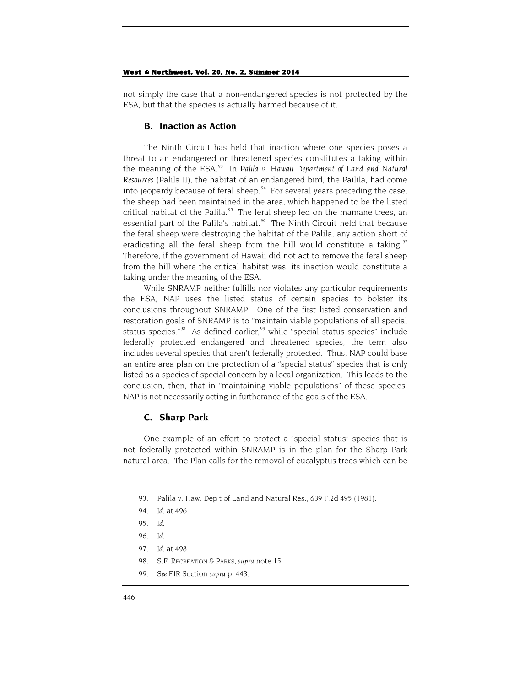not simply the case that a non-endangered species is not protected by the ESA, but that the species is actually harmed because of it.

### **B. Inaction as Action**

The Ninth Circuit has held that inaction where one species poses a threat to an endangered or threatened species constitutes a taking within the meaning of the ESA.<sup>[93](#page-18-0)</sup> In Palila v. Hawaii Department of Land and Natural *Resources* (Palila II), the habitat of an endangered bird, the Pailila, had come into jeopardy because of feral sheep. $94$  For several years preceding the case, the sheep had been maintained in the area, which happened to be the listed critical habitat of the Palila. $95$  The feral sheep fed on the mamane trees, an essential part of the Palila's habitat.<sup>[96](#page-18-3)</sup> The Ninth Circuit held that because the feral sheep were destroying the habitat of the Palila, any action short of eradicating all the feral sheep from the hill would constitute a taking.<sup>[97](#page-18-4)</sup> Therefore, if the government of Hawaii did not act to remove the feral sheep from the hill where the critical habitat was, its inaction would constitute a taking under the meaning of the ESA.

While SNRAMP neither fulfills nor violates any particular requirements the ESA, NAP uses the listed status of certain species to bolster its conclusions throughout SNRAMP. One of the first listed conservation and restoration goals of SNRAMP is to "maintain viable populations of all special status species."<sup>[98](#page-18-5)</sup> As defined earlier,<sup>[99](#page-18-6)</sup> while "special status species" include federally protected endangered and threatened species, the term also includes several species that aren't federally protected. Thus, NAP could base an entire area plan on the protection of a "special status" species that is only listed as a species of special concern by a local organization. This leads to the conclusion, then, that in "maintaining viable populations" of these species, NAP is not necessarily acting in furtherance of the goals of the ESA.

### **C. Sharp Park**

<span id="page-18-0"></span>One example of an effort to protect a "special status" species that is not federally protected within SNRAMP is in the plan for the Sharp Park natural area. The Plan calls for the removal of eucalyptus trees which can be

- <span id="page-18-2"></span><span id="page-18-1"></span>93. Palila v. Haw. Dep't of Land and Natural Res., 639 F.2d 495 (1981).
- 94*. Id.* at 496.

- 97*. Id.* at 498.
- 98. S.F. RECREATION & PARKS, *supra* not[e 15.](#page-5-4)
- <span id="page-18-6"></span><span id="page-18-5"></span>99*. See* EIR Section *supra* p. 443.

<sup>95</sup>*. Id.*

<span id="page-18-4"></span><span id="page-18-3"></span><sup>96</sup>*. Id.*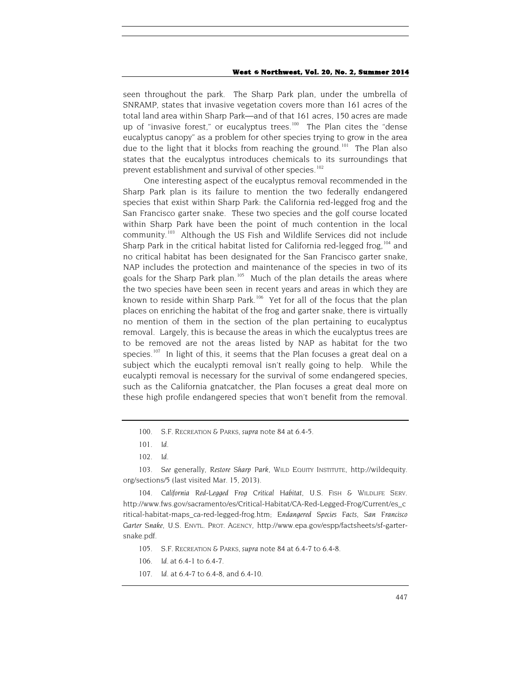seen throughout the park. The Sharp Park plan, under the umbrella of SNRAMP, states that invasive vegetation covers more than 161 acres of the total land area within Sharp Park—and of that 161 acres, 150 acres are made up of "invasive forest," or eucalyptus trees.<sup>100</sup> The Plan cites the "dense eucalyptus canopy" as a problem for other species trying to grow in the area due to the light that it blocks from reaching the ground.<sup>[101](#page-19-1)</sup> The Plan also states that the eucalyptus introduces chemicals to its surroundings that prevent establishment and survival of other species.<sup>[102](#page-19-2)</sup>

One interesting aspect of the eucalyptus removal recommended in the Sharp Park plan is its failure to mention the two federally endangered species that exist within Sharp Park: the California red-legged frog and the San Francisco garter snake. These two species and the golf course located within Sharp Park have been the point of much contention in the local community.<sup>103</sup> Although the US Fish and Wildlife Services did not include Sharp Park in the critical habitat listed for California red-legged frog,  $104$  and no critical habitat has been designated for the San Francisco garter snake, NAP includes the protection and maintenance of the species in two of its goals for the Sharp Park plan.<sup>105</sup> Much of the plan details the areas where the two species have been seen in recent years and areas in which they are known to reside within Sharp Park.<sup>106</sup> Yet for all of the focus that the plan places on enriching the habitat of the frog and garter snake, there is virtually no mention of them in the section of the plan pertaining to eucalyptus removal. Largely, this is because the areas in which the eucalyptus trees are to be removed are not the areas listed by NAP as habitat for the two species.<sup>[107](#page-19-7)</sup> In light of this, it seems that the Plan focuses a great deal on a subject which the eucalypti removal isn't really going to help. While the eucalypti removal is necessary for the survival of some endangered species, such as the California gnatcatcher, the Plan focuses a great deal more on these high profile endangered species that won't benefit from the removal.

<span id="page-19-3"></span><span id="page-19-2"></span><span id="page-19-1"></span><span id="page-19-0"></span>103*. See* generally, *Restore Sharp Park*, WILD EQUITY INSTITUTE, http://wildequity. org/sections/5 (last visited Mar. 15, 2013).

<span id="page-19-5"></span><span id="page-19-4"></span>104*. California Red-Legged Frog Critical Habitat,* U.S. FISH & WILDLIFE SERV. http://www.fws.gov/sacramento/es/Critical-Habitat/CA-Red-Legged-Frog/Current/es\_c ritical-habitat-maps\_ca-red-legged-frog.htm; *Endangered Species Facts, San Francisco Garter Snake*, U.S. ENVTL. PROT. AGENCY, http://www.epa.gov/espp/factsheets/sf-gartersnake.pdf.

- 106. *Id.* at 6.4-1 to 6.4-7.
- <span id="page-19-7"></span><span id="page-19-6"></span>107*. Id.* at 6.4-7 to 6.4-8, and 6.4-10.

<sup>100.</sup> S.F. RECREATION & PARKS, *supra* note [84](#page-16-2) at 6.4-5.

<sup>101</sup>*. Id.*

<sup>102</sup>*. Id.*

<sup>105.</sup> S.F. RECREATION & PARKS, *supra* not[e 84](#page-16-2) at 6.4-7 to 6.4-8.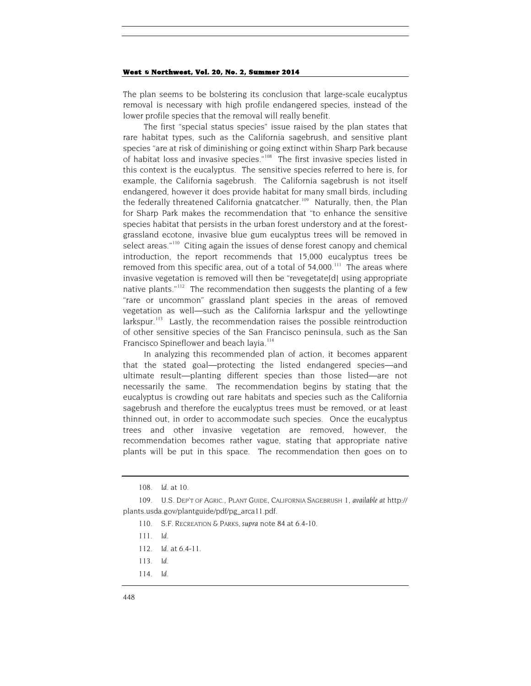The plan seems to be bolstering its conclusion that large-scale eucalyptus removal is necessary with high profile endangered species, instead of the lower profile species that the removal will really benefit.

The first "special status species" issue raised by the plan states that rare habitat types, such as the California sagebrush, and sensitive plant species "are at risk of diminishing or going extinct within Sharp Park because of habitat loss and invasive species."<sup>108</sup> The first invasive species listed in this context is the eucalyptus. The sensitive species referred to here is, for example, the California sagebrush. The California sagebrush is not itself endangered, however it does provide habitat for many small birds, including the federally threatened California gnatcatcher.<sup>[109](#page-20-1)</sup> Naturally, then, the Plan for Sharp Park makes the recommendation that "to enhance the sensitive species habitat that persists in the urban forest understory and at the forestgrassland ecotone, invasive blue gum eucalyptus trees will be removed in select areas."<sup>[110](#page-20-2)</sup> Citing again the issues of dense forest canopy and chemical introduction, the report recommends that 15,000 eucalyptus trees be removed from this specific area, out of a total of  $54,000$ .<sup>111</sup> The areas where invasive vegetation is removed will then be "revegetate[d] using appropriate native plants."<sup>112</sup> The recommendation then suggests the planting of a few "rare or uncommon" grassland plant species in the areas of removed vegetation as well—such as the California larkspur and the yellowtinge larkspur.<sup>113</sup> Lastly, the recommendation raises the possible reintroduction of other sensitive species of the San Francisco peninsula, such as the San Francisco Spineflower and beach layia.<sup>[114](#page-20-6)</sup>

In analyzing this recommended plan of action, it becomes apparent that the stated goal—protecting the listed endangered species—and ultimate result—planting different species than those listed—are not necessarily the same. The recommendation begins by stating that the eucalyptus is crowding out rare habitats and species such as the California sagebrush and therefore the eucalyptus trees must be removed, or at least thinned out, in order to accommodate such species. Once the eucalyptus trees and other invasive vegetation are removed, however, the recommendation becomes rather vague, stating that appropriate native plants will be put in this space. The recommendation then goes on to

<span id="page-20-6"></span>114*. Id.*

<sup>108</sup>*. Id.* at 10.

<span id="page-20-5"></span><span id="page-20-4"></span><span id="page-20-3"></span><span id="page-20-2"></span><span id="page-20-1"></span><span id="page-20-0"></span><sup>109.</sup> U.S. DEP'T OF AGRIC., PLANT GUIDE, CALIFORNIA SAGEBRUSH 1, *available at* http:// plants.usda.gov/plantguide/pdf/pg\_arca11.pdf.

<sup>110.</sup> S.F. RECREATION & PARKS, *supra* not[e 84](#page-16-2) at 6.4-10.

<sup>111</sup>*. Id.*

<sup>112</sup>*. Id.* at 6.4-11.

<sup>113</sup>*. Id.*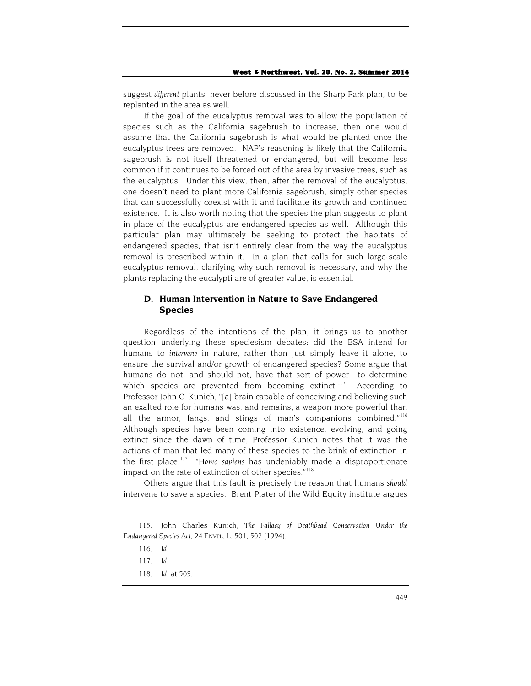suggest *different* plants, never before discussed in the Sharp Park plan, to be replanted in the area as well.

If the goal of the eucalyptus removal was to allow the population of species such as the California sagebrush to increase, then one would assume that the California sagebrush is what would be planted once the eucalyptus trees are removed. NAP's reasoning is likely that the California sagebrush is not itself threatened or endangered, but will become less common if it continues to be forced out of the area by invasive trees, such as the eucalyptus. Under this view, then, after the removal of the eucalyptus, one doesn't need to plant more California sagebrush, simply other species that can successfully coexist with it and facilitate its growth and continued existence. It is also worth noting that the species the plan suggests to plant in place of the eucalyptus are endangered species as well. Although this particular plan may ultimately be seeking to protect the habitats of endangered species, that isn't entirely clear from the way the eucalyptus removal is prescribed within it. In a plan that calls for such large-scale eucalyptus removal, clarifying why such removal is necessary, and why the plants replacing the eucalypti are of greater value, is essential.

# **D. Human Intervention in Nature to Save Endangered Species**

Regardless of the intentions of the plan, it brings us to another question underlying these speciesism debates: did the ESA intend for humans to *intervene* in nature, rather than just simply leave it alone, to ensure the survival and/or growth of endangered species? Some argue that humans do not, and should not, have that sort of power—to determine which species are prevented from becoming extinct.<sup>115</sup> According to Professor John C. Kunich, "[a] brain capable of conceiving and believing such an exalted role for humans was, and remains, a weapon more powerful than all the armor, fangs, and stings of man's companions combined."<sup>[116](#page-21-1)</sup> Although species have been coming into existence, evolving, and going extinct since the dawn of time, Professor Kunich notes that it was the actions of man that led many of these species to the brink of extinction in the first place.[117](#page-21-2) "*Homo sapiens* has undeniably made a disproportionate impact on the rate of extinction of other species."<sup>[118](#page-21-3)</sup>

Others argue that this fault is precisely the reason that humans *should* intervene to save a species. Brent Plater of the Wild Equity institute argues

<span id="page-21-3"></span><span id="page-21-2"></span><span id="page-21-1"></span><span id="page-21-0"></span><sup>115.</sup> John Charles Kunich, *The Fallacy of Deathbead Conservation Under the Endangered Species Act*, 24 ENVTL. L. 501, 502 (1994).

<sup>116</sup>*. Id.*

<sup>117</sup>*. Id.*

<sup>118</sup>*. Id.* at 503.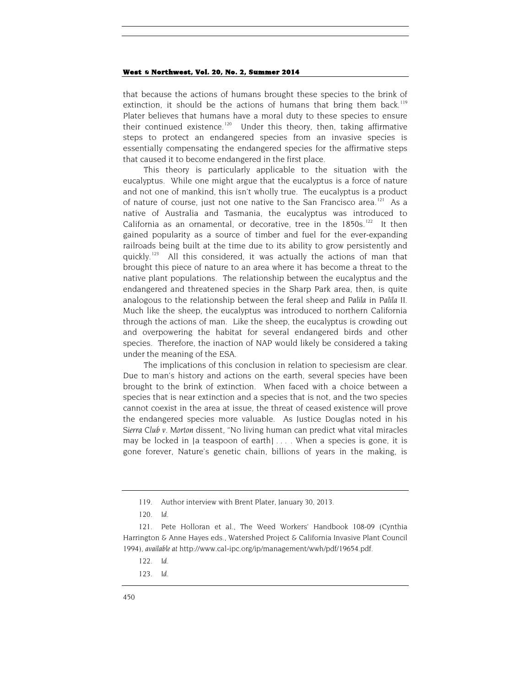that because the actions of humans brought these species to the brink of extinction, it should be the actions of humans that bring them back.<sup>[119](#page-22-0)</sup> Plater believes that humans have a moral duty to these species to ensure their continued existence.<sup>[120](#page-22-1)</sup> Under this theory, then, taking affirmative steps to protect an endangered species from an invasive species is essentially compensating the endangered species for the affirmative steps that caused it to become endangered in the first place.

This theory is particularly applicable to the situation with the eucalyptus. While one might argue that the eucalyptus is a force of nature and not one of mankind, this isn't wholly true. The eucalyptus is a product of nature of course, just not one native to the San Francisco area.<sup>[121](#page-22-2)</sup> As a native of Australia and Tasmania, the eucalyptus was introduced to California as an ornamental, or decorative, tree in the  $1850s$ .<sup>122</sup> It then gained popularity as a source of timber and fuel for the ever-expanding railroads being built at the time due to its ability to grow persistently and quickly.<sup>[123](#page-22-4)</sup> All this considered, it was actually the actions of man that brought this piece of nature to an area where it has become a threat to the native plant populations. The relationship between the eucalyptus and the endangered and threatened species in the Sharp Park area, then, is quite analogous to the relationship between the feral sheep and *Palila* in *Palila II*. Much like the sheep, the eucalyptus was introduced to northern California through the actions of man. Like the sheep, the eucalyptus is crowding out and overpowering the habitat for several endangered birds and other species. Therefore, the inaction of NAP would likely be considered a taking under the meaning of the ESA.

The implications of this conclusion in relation to speciesism are clear. Due to man's history and actions on the earth, several species have been brought to the brink of extinction. When faced with a choice between a species that is near extinction and a species that is not, and the two species cannot coexist in the area at issue, the threat of ceased existence will prove the endangered species more valuable. As Justice Douglas noted in his *Sierra Club v. Morton* dissent, "No living human can predict what vital miracles may be locked in [a teaspoon of earth] . . . . When a species is gone, it is gone forever, Nature's genetic chain, billions of years in the making, is

123*. Id.*

<sup>119.</sup> Author interview with Brent Plater, January 30, 2013.

<sup>120</sup>*. Id*.

<span id="page-22-4"></span><span id="page-22-3"></span><span id="page-22-2"></span><span id="page-22-1"></span><span id="page-22-0"></span><sup>121.</sup> Pete Holloran et al., The Weed Workers' Handbook 108-09 (Cynthia Harrington & Anne Hayes eds., Watershed Project & California Invasive Plant Council 1994), *available at* http://www.cal-ipc.org/ip/management/wwh/pdf/19654.pdf.

<sup>122</sup>*. Id.*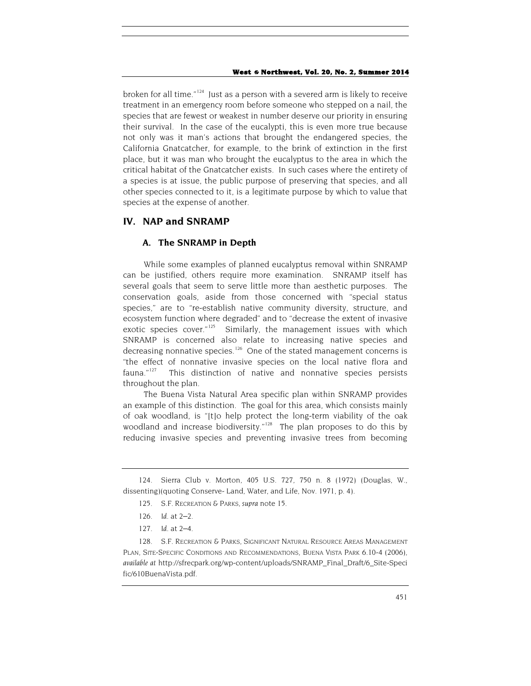broken for all time." $124$  Just as a person with a severed arm is likely to receive treatment in an emergency room before someone who stepped on a nail, the species that are fewest or weakest in number deserve our priority in ensuring their survival. In the case of the eucalypti, this is even more true because not only was it man's actions that brought the endangered species, the California Gnatcatcher, for example, to the brink of extinction in the first place, but it was man who brought the eucalyptus to the area in which the critical habitat of the Gnatcatcher exists. In such cases where the entirety of a species is at issue, the public purpose of preserving that species, and all other species connected to it, is a legitimate purpose by which to value that species at the expense of another.

## **IV. NAP and SNRAMP**

# **A. The SNRAMP in Depth**

While some examples of planned eucalyptus removal within SNRAMP can be justified, others require more examination. SNRAMP itself has several goals that seem to serve little more than aesthetic purposes. The conservation goals, aside from those concerned with "special status species," are to "re-establish native community diversity, structure, and ecosystem function where degraded" and to "decrease the extent of invasive exotic species cover."<sup>[125](#page-23-1)</sup> Similarly, the management issues with which SNRAMP is concerned also relate to increasing native species and decreasing nonnative species.<sup>[126](#page-23-2)</sup> One of the stated management concerns is "the effect of nonnative invasive species on the local native flora and fauna."[127](#page-23-3) This distinction of native and nonnative species persists throughout the plan.

The Buena Vista Natural Area specific plan within SNRAMP provides an example of this distinction. The goal for this area, which consists mainly of oak woodland, is "[t]o help protect the long-term viability of the oak woodland and increase biodiversity."<sup>[128](#page-23-4)</sup> The plan proposes to do this by reducing invasive species and preventing invasive trees from becoming

<span id="page-23-1"></span><span id="page-23-0"></span><sup>124.</sup> Sierra Club v. Morton, 405 U.S. 727, 750 n. 8 (1972) (Douglas, W., dissenting)(quoting Conserve- Land, Water, and Life, Nov. 1971, p. 4).

<sup>125.</sup> S.F. RECREATION & PARKS, *supra* not[e 15.](#page-5-4)

<sup>126</sup>*. Id.* at 2–2.

<sup>127</sup>*. Id.* at 2–4.

<span id="page-23-4"></span><span id="page-23-3"></span><span id="page-23-2"></span><sup>128.</sup> S.F. RECREATION & PARKS, SIGNIFICANT NATURAL RESOURCE AREAS MANAGEMENT PLAN, SITE-SPECIFIC CONDITIONS AND RECOMMENDATIONS, BUENA VISTA PARK 6.10-4 (2006), *available at* http://sfrecpark.org/wp-content/uploads/SNRAMP\_Final\_Draft/6\_Site-Speci fic/610BuenaVista.pdf.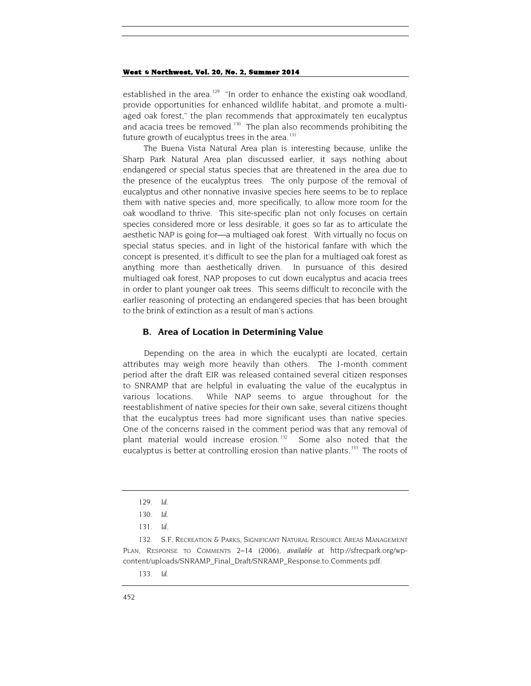established in the area.<sup>[129](#page-24-0)</sup> "In order to enhance the existing oak woodland, provide opportunities for enhanced wildlife habitat, and promote a multiaged oak forest," the plan recommends that approximately ten eucalyptus and acacia trees be removed.<sup>130</sup> The plan also recommends prohibiting the future growth of eucalyptus trees in the area. $131$ 

The Buena Vista Natural Area plan is interesting because, unlike the Sharp Park Natural Area plan discussed earlier, it says nothing about endangered or special status species that are threatened in the area due to the presence of the eucalyptus trees. The only purpose of the removal of eucalyptus and other nonnative invasive species here seems to be to replace them with native species and, more specifically, to allow more room for the oak woodland to thrive. This site-specific plan not only focuses on certain species considered more or less desirable, it goes so far as to articulate the aesthetic NAP is going for—a multiaged oak forest. With virtually no focus on special status species, and in light of the historical fanfare with which the concept is presented, it's difficult to see the plan for a multiaged oak forest as anything more than aesthetically driven. In pursuance of this desired multiaged oak forest, NAP proposes to cut down eucalyptus and acacia trees in order to plant younger oak trees. This seems difficult to reconcile with the earlier reasoning of protecting an endangered species that has been brought to the brink of extinction as a result of man's actions.

### **B. Area of Location in Determining Value**

Depending on the area in which the eucalypti are located, certain attributes may weigh more heavily than others. The 1-month comment period after the draft EIR was released contained several citizen responses to SNRAMP that are helpful in evaluating the value of the eucalyptus in various locations. While NAP seems to argue throughout for the reestablishment of native species for their own sake, several citizens thought that the eucalyptus trees had more significant uses than native species. One of the concerns raised in the comment period was that any removal of plant material would increase erosion.<sup>132</sup> Some also noted that the eucalyptus is better at controlling erosion than native plants.<sup>[133](#page-24-4)</sup> The roots of

<span id="page-24-4"></span><span id="page-24-3"></span><span id="page-24-2"></span><span id="page-24-1"></span><span id="page-24-0"></span>132. S.F. RECREATION & PARKS, SIGNIFICANT NATURAL RESOURCE AREAS MANAGEMENT PLAN, RESPONSE TO COMMENTS 2–14 (2006), *available at* http://sfrecpark.org/wpcontent/uploads/SNRAMP\_Final\_Draft/SNRAMP\_Response.to.Comments.pdf.

<span id="page-24-5"></span><sup>129</sup>*. Id.*

<sup>130</sup>*. Id.*

<sup>131</sup>*. Id.*

<sup>133</sup>*. Id.*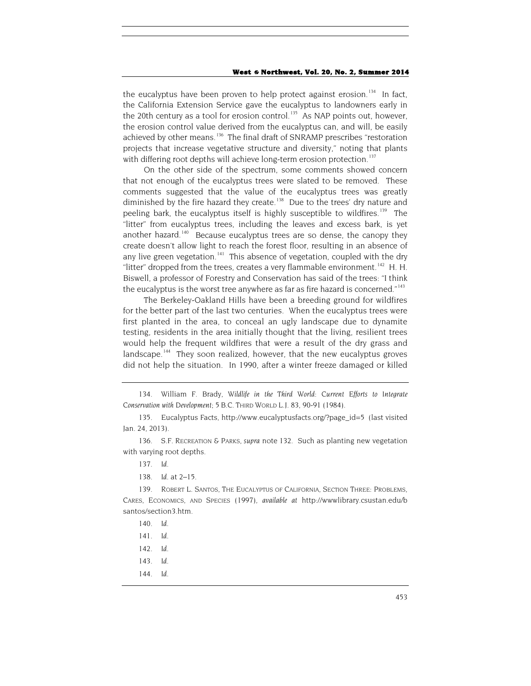the eucalyptus have been proven to help protect against erosion.<sup>[134](#page-25-0)</sup> In fact, the California Extension Service gave the eucalyptus to landowners early in the 20th century as a tool for erosion control.<sup>[135](#page-25-1)</sup> As NAP points out, however, the erosion control value derived from the eucalyptus can, and will, be easily achieved by other means.<sup>136</sup> The final draft of SNRAMP prescribes "restoration projects that increase vegetative structure and diversity," noting that plants with differing root depths will achieve long-term erosion protection.<sup>[137](#page-25-3)</sup>

On the other side of the spectrum, some comments showed concern that not enough of the eucalyptus trees were slated to be removed. These comments suggested that the value of the eucalyptus trees was greatly diminished by the fire hazard they create.<sup>[138](#page-25-4)</sup> Due to the trees' dry nature and peeling bark, the eucalyptus itself is highly susceptible to wildfires.<sup>[139](#page-25-5)</sup> The "litter" from eucalyptus trees, including the leaves and excess bark, is yet another hazard.<sup>140</sup> Because eucalyptus trees are so dense, the canopy they create doesn't allow light to reach the forest floor, resulting in an absence of any live green vegetation.<sup>141</sup> This absence of vegetation, coupled with the dry "litter" dropped from the trees, creates a very flammable environment.<sup>142</sup> H. H. Biswell, a professor of Forestry and Conservation has said of the trees: "I think the eucalyptus is the worst tree anywhere as far as fire hazard is concerned." $^{143}$  $^{143}$  $^{143}$ 

The Berkeley-Oakland Hills have been a breeding ground for wildfires for the better part of the last two centuries. When the eucalyptus trees were first planted in the area, to conceal an ugly landscape due to dynamite testing, residents in the area initially thought that the living, resilient trees would help the frequent wildfires that were a result of the dry grass and landscape.<sup>[144](#page-25-10)</sup> They soon realized, however, that the new eucalyptus groves did not help the situation. In 1990, after a winter freeze damaged or killed

137*. Id.*

138*. Id.* at 2–15.

<span id="page-25-8"></span><span id="page-25-7"></span><span id="page-25-6"></span><span id="page-25-5"></span><span id="page-25-4"></span>139. ROBERT L. SANTOS, THE EUCALYPTUS OF CALIFORNIA, SECTION THREE: PROBLEMS, CARES, ECONOMICS, AND SPECIES (1997), *available at* http://wwwlibrary.csustan.edu/b santos/section3.htm.

- 140*. Id.*
- 141*. Id*.
- 142*. Id*.
- <span id="page-25-9"></span>143*. Id*.
- <span id="page-25-10"></span>144*. Id*.

<span id="page-25-0"></span><sup>134.</sup> William F. Brady, *Wildlife in the Third World: Current Efforts to Integrate Conservation with Development*; 5 B.C. THIRD WORLD L.J. 83, 90-91 (1984).

<span id="page-25-1"></span><sup>135.</sup> Eucalyptus Facts[, http://www.eucalyptusfacts.org/?page\\_id=5](http://www.eucalyptusfacts.org/?page_id=5) (last visited Jan. 24, 2013).

<span id="page-25-3"></span><span id="page-25-2"></span><sup>136.</sup> S.F. RECREATION & PARKS, *supra* note [132.](#page-24-5) Such as planting new vegetation with varying root depths.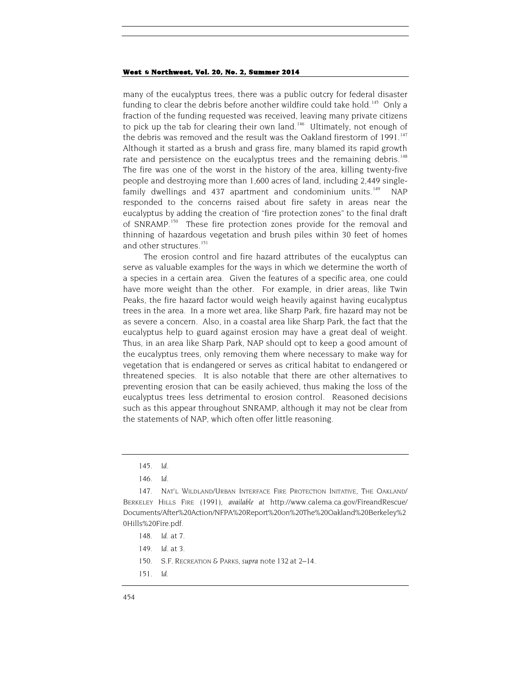many of the eucalyptus trees, there was a public outcry for federal disaster funding to clear the debris before another wildfire could take hold.<sup>145</sup> Only a fraction of the funding requested was received, leaving many private citizens to pick up the tab for clearing their own land.<sup>[146](#page-26-1)</sup> Ultimately, not enough of the debris was removed and the result was the Oakland firestorm of 1991.<sup>[147](#page-26-2)</sup> Although it started as a brush and grass fire, many blamed its rapid growth rate and persistence on the eucalyptus trees and the remaining debris.<sup>[148](#page-26-3)</sup> The fire was one of the worst in the history of the area, killing twenty-five people and destroying more than 1,600 acres of land, including 2,449 single-family dwellings and 437 apartment and condominium units.<sup>[149](#page-26-4)</sup> NAP responded to the concerns raised about fire safety in areas near the eucalyptus by adding the creation of "fire protection zones" to the final draft of SNRAMP.<sup>[150](#page-26-5)</sup> These fire protection zones provide for the removal and thinning of hazardous vegetation and brush piles within 30 feet of homes and other structures.<sup>[151](#page-26-6)</sup>

The erosion control and fire hazard attributes of the eucalyptus can serve as valuable examples for the ways in which we determine the worth of a species in a certain area. Given the features of a specific area, one could have more weight than the other. For example, in drier areas, like Twin Peaks, the fire hazard factor would weigh heavily against having eucalyptus trees in the area. In a more wet area, like Sharp Park, fire hazard may not be as severe a concern. Also, in a coastal area like Sharp Park, the fact that the eucalyptus help to guard against erosion may have a great deal of weight. Thus, in an area like Sharp Park, NAP should opt to keep a good amount of the eucalyptus trees, only removing them where necessary to make way for vegetation that is endangered or serves as critical habitat to endangered or threatened species. It is also notable that there are other alternatives to preventing erosion that can be easily achieved, thus making the loss of the eucalyptus trees less detrimental to erosion control. Reasoned decisions such as this appear throughout SNRAMP, although it may not be clear from the statements of NAP, which often offer little reasoning.

<span id="page-26-6"></span><span id="page-26-5"></span>151*. Id.*

<sup>145</sup>*. Id*.

<sup>146</sup>*. Id*.

<span id="page-26-4"></span><span id="page-26-3"></span><span id="page-26-2"></span><span id="page-26-1"></span><span id="page-26-0"></span><sup>147.</sup> NAT'L WILDLAND/URBAN INTERFACE FIRE PROTECTION INITATIVE, THE OAKLAND/ BERKELEY HILLS FIRE (1991), *available at* http://www.calema.ca.gov/FireandRescue/ Documents/After%20Action/NFPA%20Report%20on%20The%20Oakland%20Berkeley%2 0Hills%20Fire.pdf.

<sup>148</sup>*. Id.* at 7.

<sup>149</sup>*. Id.* at 3.

<sup>150.</sup> S.F. RECREATION & PARKS, *supra* note [132](#page-24-5) at 2–14.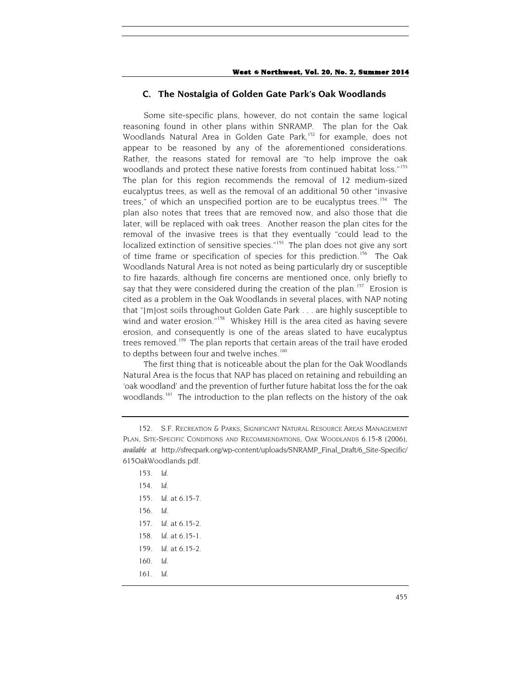### **C. The Nostalgia of Golden Gate Park's Oak Woodlands**

Some site-specific plans, however, do not contain the same logical reasoning found in other plans within SNRAMP. The plan for the Oak Woodlands Natural Area in Golden Gate Park,<sup>[152](#page-27-0)</sup> for example, does not appear to be reasoned by any of the aforementioned considerations. Rather, the reasons stated for removal are "to help improve the oak woodlands and protect these native forests from continued habitat loss."<sup>[153](#page-27-1)</sup> The plan for this region recommends the removal of 12 medium-sized eucalyptus trees, as well as the removal of an additional 50 other "invasive trees," of which an unspecified portion are to be eucalyptus trees.<sup>[154](#page-27-2)</sup> The plan also notes that trees that are removed now, and also those that die later, will be replaced with oak trees. Another reason the plan cites for the removal of the invasive trees is that they eventually "could lead to the localized extinction of sensitive species."<sup>[155](#page-27-3)</sup> The plan does not give any sort of time frame or specification of species for this prediction.<sup>[156](#page-27-4)</sup> The Oak Woodlands Natural Area is not noted as being particularly dry or susceptible to fire hazards, although fire concerns are mentioned once, only briefly to say that they were considered during the creation of the plan.<sup>157</sup> Erosion is cited as a problem in the Oak Woodlands in several places, with NAP noting that "[m]ost soils throughout Golden Gate Park . . . are highly susceptible to wind and water erosion."<sup>[158](#page-27-6)</sup> Whiskey Hill is the area cited as having severe erosion, and consequently is one of the areas slated to have eucalyptus trees removed.<sup>[159](#page-27-7)</sup> The plan reports that certain areas of the trail have eroded to depths between four and twelve inches.<sup>[160](#page-27-8)</sup>

The first thing that is noticeable about the plan for the Oak Woodlands Natural Area is the focus that NAP has placed on retaining and rebuilding an 'oak woodland' and the prevention of further future habitat loss the for the oak woodlands.<sup>[161](#page-27-9)</sup> The introduction to the plan reflects on the history of the oak

<span id="page-27-2"></span><span id="page-27-1"></span><span id="page-27-0"></span><sup>152.</sup> S.F. RECREATION & PARKS, SIGNIFICANT NATURAL RESOURCE AREAS MANAGEMENT PLAN, SITE-SPECIFIC CONDITIONS AND RECOMMENDATIONS, OAK WOODLANDS 6.15-8 (2006), *available at* http://sfrecpark.org/wp-content/uploads/SNRAMP\_Final\_Draft/6\_Site-Specific/ 615OakWoodlands.pdf.

<span id="page-27-9"></span><span id="page-27-8"></span><span id="page-27-7"></span><span id="page-27-6"></span><span id="page-27-5"></span><span id="page-27-4"></span><span id="page-27-3"></span><sup>153</sup>*. Id*. 154*. Id*. 155*. Id*. at 6.15-7. 156*. Id*. 157*. Id*. at 6.15-2. 158*. Id*. at 6.15-1. 159*. Id*. at 6.15-2. 160*. Id*. 161*. Id*.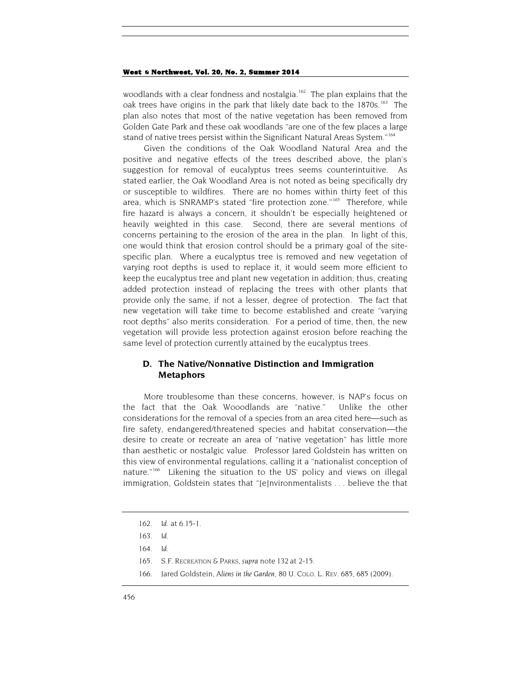woodlands with a clear fondness and nostalgia.<sup>162</sup> The plan explains that the oak trees have origins in the park that likely date back to the 1870s.<sup>[163](#page-28-1)</sup> The plan also notes that most of the native vegetation has been removed from Golden Gate Park and these oak woodlands "are one of the few places a large stand of native trees persist within the Significant Natural Areas System."<sup>[164](#page-28-2)</sup>

Given the conditions of the Oak Woodland Natural Area and the positive and negative effects of the trees described above, the plan's suggestion for removal of eucalyptus trees seems counterintuitive. As stated earlier, the Oak Woodland Area is not noted as being specifically dry or susceptible to wildfires. There are no homes within thirty feet of this area, which is SNRAMP's stated "fire protection zone."<sup>[165](#page-28-3)</sup> Therefore, while fire hazard is always a concern, it shouldn't be especially heightened or heavily weighted in this case. Second, there are several mentions of concerns pertaining to the erosion of the area in the plan. In light of this, one would think that erosion control should be a primary goal of the sitespecific plan. Where a eucalyptus tree is removed and new vegetation of varying root depths is used to replace it, it would seem more efficient to keep the eucalyptus tree and plant new vegetation in addition; thus, creating added protection instead of replacing the trees with other plants that provide only the same, if not a lesser, degree of protection. The fact that new vegetation will take time to become established and create "varying root depths" also merits consideration. For a period of time, then, the new vegetation will provide less protection against erosion before reaching the same level of protection currently attained by the eucalyptus trees.

# **D. The Native/Nonnative Distinction and Immigration Metaphors**

More troublesome than these concerns, however, is NAP's focus on the fact that the Oak Wooodlands are "native." Unlike the other considerations for the removal of a species from an area cited here—such as fire safety, endangered/threatened species and habitat conservation—the desire to create or recreate an area of "native vegetation" has little more than aesthetic or nostalgic value. Professor Jared Goldstein has written on this view of environmental regulations, calling it a "nationalist conception of nature."<sup>[166](#page-28-4)</sup> Likening the situation to the US' policy and views on illegal immigration, Goldstein states that "[e]nvironmentalists . . . believe the that

- 165. S.F. RECREATION & PARKS, *supra* note [132](#page-24-5) at 2-15.
- <span id="page-28-4"></span><span id="page-28-3"></span>166. Jared Goldstein, *Aliens in the Garden*, 80 U. COLO. L. REV. 685, 685 (2009).

<span id="page-28-0"></span><sup>162</sup>*. Id*. at 6.15-1.

<span id="page-28-1"></span><sup>163</sup>*. Id*.

<span id="page-28-2"></span><sup>164</sup>*. Id*.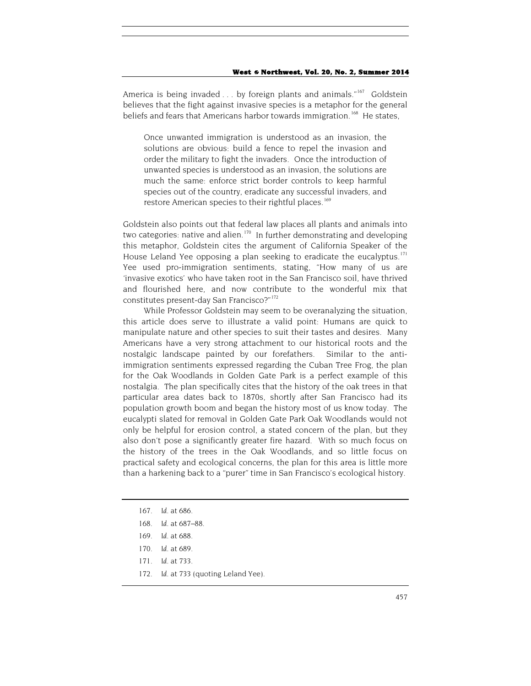America is being invaded . . . by foreign plants and animals."<sup>[167](#page-29-0)</sup> Goldstein believes that the fight against invasive species is a metaphor for the general beliefs and fears that Americans harbor towards immigration.<sup>[168](#page-29-1)</sup> He states,

Once unwanted immigration is understood as an invasion, the solutions are obvious: build a fence to repel the invasion and order the military to fight the invaders. Once the introduction of unwanted species is understood as an invasion, the solutions are much the same: enforce strict border controls to keep harmful species out of the country, eradicate any successful invaders, and restore American species to their rightful places.<sup>[169](#page-29-2)</sup>

Goldstein also points out that federal law places all plants and animals into two categories: native and alien.<sup>170</sup> In further demonstrating and developing this metaphor, Goldstein cites the argument of California Speaker of the House Leland Yee opposing a plan seeking to eradicate the eucalyptus.<sup>[171](#page-29-4)</sup> Yee used pro-immigration sentiments, stating, "How many of us are 'invasive exotics' who have taken root in the San Francisco soil, have thrived and flourished here, and now contribute to the wonderful mix that constitutes present-day San Francisco?"<sup>[172](#page-29-5)</sup>

While Professor Goldstein may seem to be overanalyzing the situation, this article does serve to illustrate a valid point: Humans are quick to manipulate nature and other species to suit their tastes and desires. Many Americans have a very strong attachment to our historical roots and the nostalgic landscape painted by our forefathers. Similar to the antiimmigration sentiments expressed regarding the Cuban Tree Frog, the plan for the Oak Woodlands in Golden Gate Park is a perfect example of this nostalgia. The plan specifically cites that the history of the oak trees in that particular area dates back to 1870s, shortly after San Francisco had its population growth boom and began the history most of us know today. The eucalypti slated for removal in Golden Gate Park Oak Woodlands would not only be helpful for erosion control, a stated concern of the plan, but they also don't pose a significantly greater fire hazard. With so much focus on the history of the trees in the Oak Woodlands, and so little focus on practical safety and ecological concerns, the plan for this area is little more than a harkening back to a "purer" time in San Francisco's ecological history.

- <span id="page-29-0"></span>167*. Id*. at 686.
- <span id="page-29-1"></span>168*. Id*. at 687–88.
- <span id="page-29-2"></span>169*. Id*. at 688.
- <span id="page-29-3"></span>170*. Id*. at 689.
- <span id="page-29-4"></span>171*. Id*. at 733.
- <span id="page-29-5"></span>172*. Id*. at 733 (quoting Leland Yee).